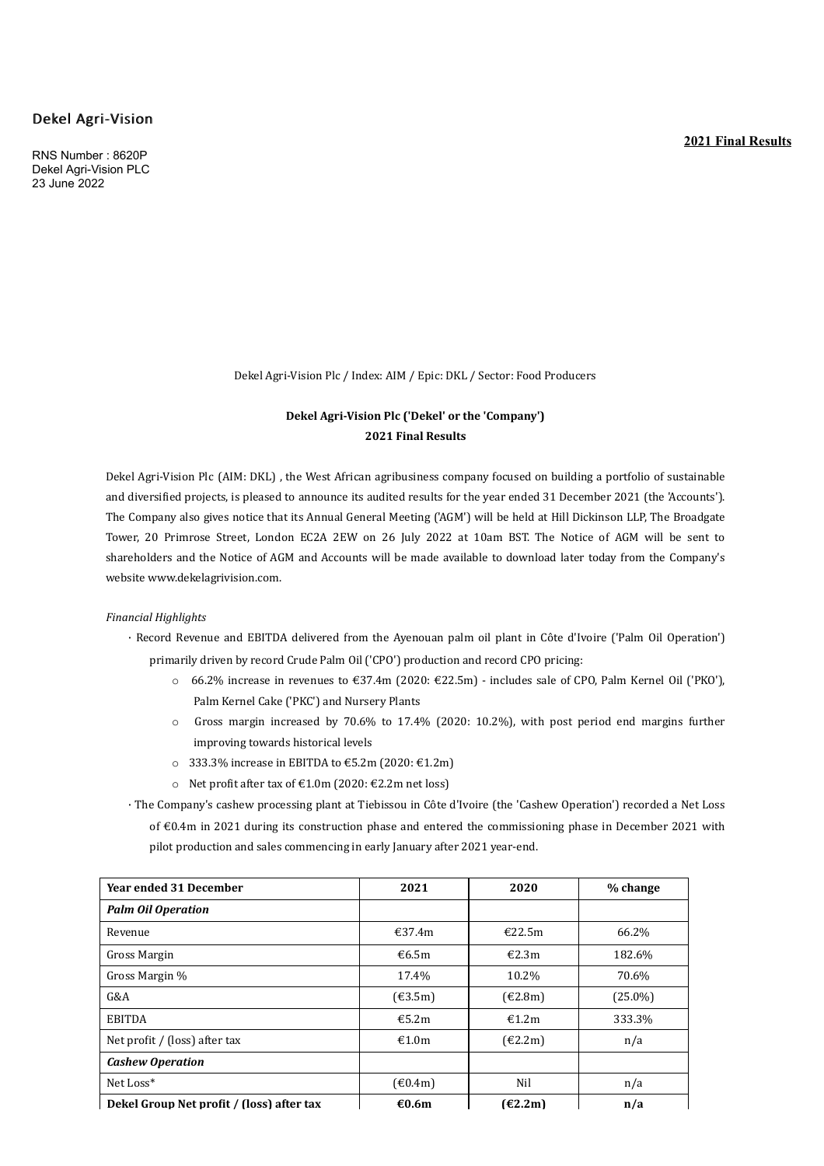## Dekel Agri-Vision

RNS Number : 8620P Dekel Agri-Vision PLC 23 June 2022

**2021 Final Results**

Dekel Agri-Vision Plc / Index: AIM / Epic: DKL / Sector: Food Producers

# **Dekel Agri-Vision Plc ('Dekel' or the 'Company') 2021 Final Results**

Dekel Agri-Vision Plc (AIM: DKL), the West African agribusiness company focused on building a portfolio of sustainable and diversified projects, is pleased to announce its audited results for the year ended 31 December 2021 (the 'Accounts'). The Company also gives notice that its Annual General Meeting ('AGM') will be held at Hill Dickinson LLP, The Broadgate Tower, 20 Primrose Street, London EC2A 2EW on 26 July 2022 at 10am BST. The Notice of AGM will be sent to shareholders and the Notice of AGM and Accounts will be made available to download later today from the Company's website www.dekelagrivision.com.

## *Financial Highlights*

- · Record Revenue and EBITDA delivered from the Ayenouan palm oil plant in Côte d'Ivoire ('Palm Oil Operation') primarily driven by record Crude Palm Oil ('CPO') production and record CPO pricing:
	- o 66.2% increase in revenues to €37.4m (2020: €22.5m) includes sale of CPO, Palm Kernel Oil ('PKO'), Palm Kernel Cake ('PKC') and Nursery Plants
	- $\circ$  Gross margin increased by 70.6% to 17.4% (2020: 10.2%), with post period end margins further improving towards historical levels
	- o 333.3% increase in EBITDA to €5.2m (2020: €1.2m)
	- o Net profit after tax of €1.0m (2020: €2.2m net loss)
- · The Company's cashew processing plant at Tiebissou in Côte d'Ivoire (the 'Cashew Operation') recorded a Net Loss of €0.4m in 2021 during its construction phase and entered the commissioning phase in December 2021 with pilot production and sales commencing in early January after 2021 year-end.

| <b>Year ended 31 December</b>             | 2021                         | 2020                         | % change   |
|-------------------------------------------|------------------------------|------------------------------|------------|
| <b>Palm Oil Operation</b>                 |                              |                              |            |
| Revenue                                   | €37.4m                       | €22.5m                       | 66.2%      |
| Gross Margin                              | €6.5m                        | €2.3m                        | 182.6%     |
| Gross Margin %                            | 17.4%                        | 10.2%                        | 70.6%      |
| G&A                                       | $(\text{\textsterling}3.5m)$ | $(\text{\textsterling}2.8m)$ | $(25.0\%)$ |
| <b>EBITDA</b>                             | €5.2m                        | €1.2m                        | 333.3%     |
| Net profit / (loss) after tax             | €1.0m                        | $(\text{\textsterling}2.2m)$ | n/a        |
| <b>Cashew Operation</b>                   |                              |                              |            |
| Net Loss*                                 | $(\text{\textsterling}0.4m)$ | Nil                          | n/a        |
| Dekel Group Net profit / (loss) after tax | €0.6m                        | (€2.2m)                      | n/a        |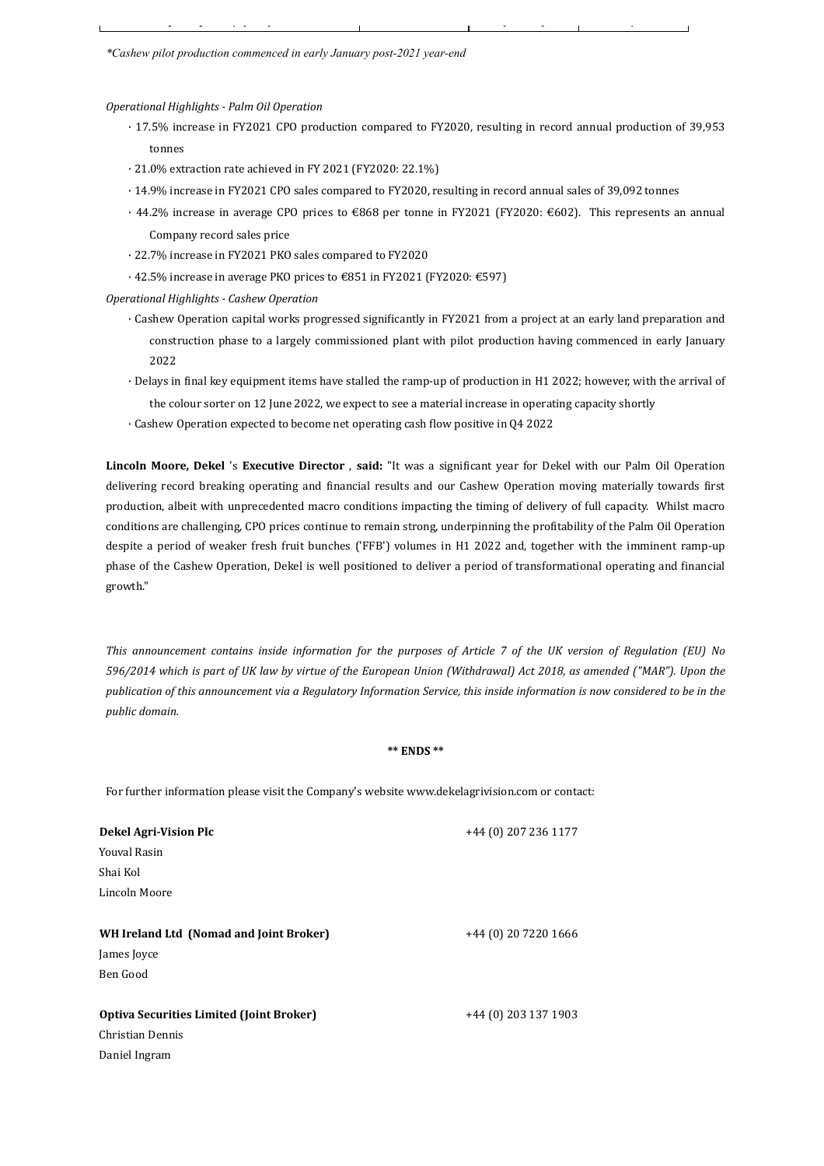**Definition of the extendion of the extendion of the extendion of the extendion of the extendion of the extendion of the extendion of the extendion of the extendion of the extendion of the extendion of the extendion of the** 

*\*Cashew pilot production commenced in early January post-2021 year-end*

*Operational Highlights - Palm Oil Operation*

- · 17.5% increase in FY2021 CPO production compared to FY2020, resulting in record annual production of 39,953 tonnes
- $\cdot$  21.0% extraction rate achieved in FY 2021 (FY2020: 22.1%)
- · 14.9% increase in FY2021 CPO sales compared to FY2020, resulting in record annual sales of 39,092 tonnes
- $\cdot$  44.2% increase in average CPO prices to €868 per tonne in FY2021 (FY2020: €602). This represents an annual Company record sales price
- · 22.7% increase in FY2021 PKO sales compared to FY2020
- $\cdot$  42.5% increase in average PKO prices to €851 in FY2021 (FY2020: €597)

*Operational Highlights - Cashew Operation*

- · Cashew Operation capital works progressed significantly in FY2021 from a project at an early land preparation and construction phase to a largely commissioned plant with pilot production having commenced in early January 2022
- · Delays in final key equipment items have stalled the ramp-up of production in H1 2022; however, with the arrival of the colour sorter on 12 June 2022, we expect to see a material increase in operating capacity shortly
- · Cashew Operation expected to become net operating cash Jlow positive in Q4 2022

**Lincoln Moore, Dekel** 's **Executive Director**, said: "It was a significant year for Dekel with our Palm Oil Operation delivering record breaking operating and financial results and our Cashew Operation moving materially towards first production, albeit with unprecedented macro conditions impacting the timing of delivery of full capacity. Whilst macro conditions are challenging, CPO prices continue to remain strong, underpinning the profitability of the Palm Oil Operation despite a period of weaker fresh fruit bunches ('FFB') volumes in H1 2022 and, together with the imminent ramp-up phase of the Cashew Operation, Dekel is well positioned to deliver a period of transformational operating and financial growth."

This announcement contains inside information for the purposes of Article 7 of the UK version of Regulation (EU) No *596/2014* which is part of UK law by virtue of the European Union (Withdrawal) Act 2018, as amended ("MAR"). Upon the publication of this announcement via a Regulatory Information Service, this inside information is now considered to be in the *public domain.*

## **\*\* ENDS \*\***

For further information please visit the Company's website www.dekelagrivision.com or contact:

| Dekel Agri-Vision Plc                           | +44 (0) 207 236 1177 |
|-------------------------------------------------|----------------------|
| <b>Youval Rasin</b>                             |                      |
| Shai Kol                                        |                      |
| Lincoln Moore                                   |                      |
| WH Ireland Ltd (Nomad and Joint Broker)         | +44 (0) 20 7220 1666 |
| James Joyce                                     |                      |
| Ben Good                                        |                      |
| <b>Optiva Securities Limited (Joint Broker)</b> | +44 (0) 203 137 1903 |
| Christian Dennis                                |                      |
| Daniel Ingram                                   |                      |
|                                                 |                      |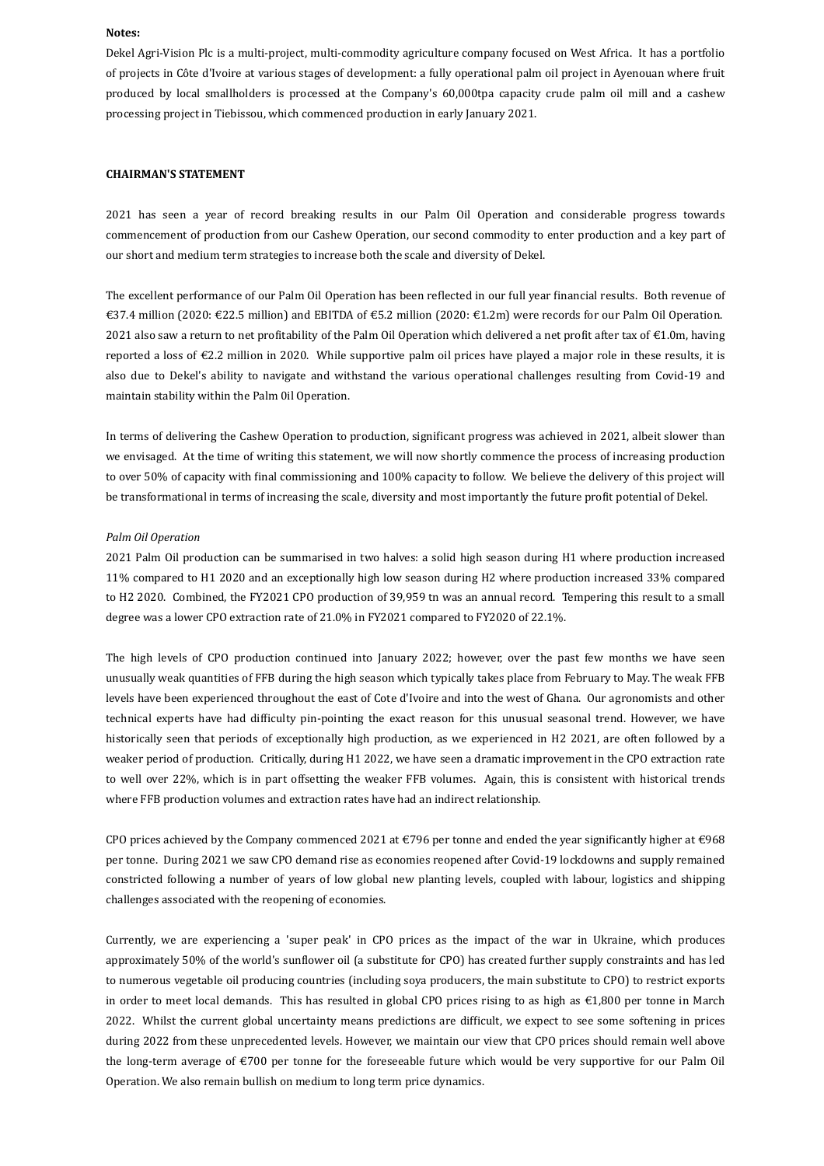#### **Notes:**

Dekel Agri-Vision Plc is a multi-project, multi-commodity agriculture company focused on West Africa. It has a portfolio of projects in Côte d'Ivoire at various stages of development: a fully operational palm oil project in Ayenouan where fruit produced by local smallholders is processed at the Company's 60,000tpa capacity crude palm oil mill and a cashew processing project in Tiebissou, which commenced production in early January 2021.

## **CHAIRMAN'S STATEMENT**

2021 has seen a year of record breaking results in our Palm Oil Operation and considerable progress towards commencement of production from our Cashew Operation, our second commodity to enter production and a key part of our short and medium term strategies to increase both the scale and diversity of Dekel.

The excellent performance of our Palm Oil Operation has been reflected in our full year financial results. Both revenue of €37.4 million (2020: €22.5 million) and EBITDA of €5.2 million (2020: €1.2m) were records for our Palm Oil Operation. 2021 also saw a return to net profitability of the Palm Oil Operation which delivered a net profit after tax of  $\epsilon$ 1.0m, having reported a loss of  $\epsilon$ 2.2 million in 2020. While supportive palm oil prices have played a major role in these results, it is also due to Dekel's ability to navigate and withstand the various operational challenges resulting from Covid-19 and maintain stability within the Palm 0il Operation.

In terms of delivering the Cashew Operation to production, significant progress was achieved in 2021, albeit slower than we envisaged. At the time of writing this statement, we will now shortly commence the process of increasing production to over 50% of capacity with final commissioning and 100% capacity to follow. We believe the delivery of this project will be transformational in terms of increasing the scale, diversity and most importantly the future profit potential of Dekel.

#### *Palm Oil Operation*

2021 Palm Oil production can be summarised in two halves: a solid high season during H1 where production increased 11% compared to H1 2020 and an exceptionally high low season during H2 where production increased 33% compared to H2 2020. Combined, the FY2021 CPO production of 39,959 tn was an annual record. Tempering this result to a small degree was a lower CPO extraction rate of  $21.0\%$  in FY2021 compared to FY2020 of 22.1%.

The high levels of CPO production continued into January 2022; however, over the past few months we have seen unusually weak quantities of FFB during the high season which typically takes place from February to May. The weak FFB levels have been experienced throughout the east of Cote d'Ivoire and into the west of Ghana. Our agronomists and other technical experts have had difficulty pin-pointing the exact reason for this unusual seasonal trend. However, we have historically seen that periods of exceptionally high production, as we experienced in H2 2021, are often followed by a weaker period of production. Critically, during H1 2022, we have seen a dramatic improvement in the CPO extraction rate to well over 22%, which is in part offsetting the weaker FFB volumes. Again, this is consistent with historical trends where FFB production volumes and extraction rates have had an indirect relationship.

CPO prices achieved by the Company commenced 2021 at  $\epsilon$ 796 per tonne and ended the year significantly higher at  $\epsilon$ 968 per tonne. During 2021 we saw CPO demand rise as economies reopened after Covid-19 lockdowns and supply remained constricted following a number of years of low global new planting levels, coupled with labour, logistics and shipping challenges associated with the reopening of economies.

Currently, we are experiencing a 'super peak' in CPO prices as the impact of the war in Ukraine, which produces approximately 50% of the world's sunflower oil (a substitute for CPO) has created further supply constraints and has led to numerous vegetable oil producing countries (including soya producers, the main substitute to CPO) to restrict exports in order to meet local demands. This has resulted in global CPO prices rising to as high as  $£1,800$  per tonne in March 2022. Whilst the current global uncertainty means predictions are difficult, we expect to see some softening in prices during 2022 from these unprecedented levels. However, we maintain our view that CPO prices should remain well above the long-term average of  $\epsilon$ 700 per tonne for the foreseeable future which would be very supportive for our Palm Oil Operation. We also remain bullish on medium to long term price dynamics.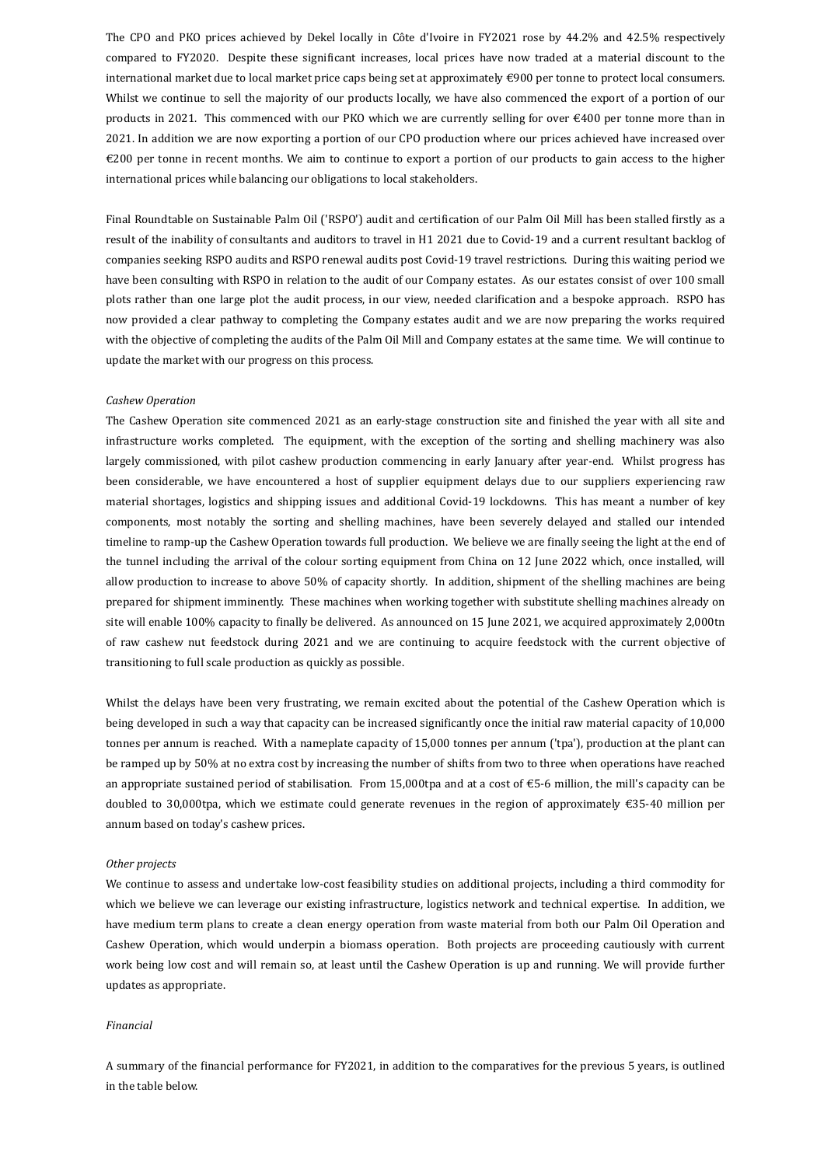The CPO and PKO prices achieved by Dekel locally in Côte d'Ivoire in FY2021 rose by 44.2% and 42.5% respectively compared to FY2020. Despite these significant increases, local prices have now traded at a material discount to the international market due to local market price caps being set at approximately  $\epsilon$ 900 per tonne to protect local consumers. Whilst we continue to sell the majority of our products locally, we have also commenced the export of a portion of our products in 2021. This commenced with our PKO which we are currently selling for over  $\epsilon$ 400 per tonne more than in 2021. In addition we are now exporting a portion of our CPO production where our prices achieved have increased over €200 per tonne in recent months. We aim to continue to export a portion of our products to gain access to the higher international prices while balancing our obligations to local stakeholders.

Final Roundtable on Sustainable Palm Oil ('RSPO') audit and certification of our Palm Oil Mill has been stalled firstly as a result of the inability of consultants and auditors to travel in H1 2021 due to Covid-19 and a current resultant backlog of companies seeking RSPO audits and RSPO renewal audits post Covid-19 travel restrictions. During this waiting period we have been consulting with RSPO in relation to the audit of our Company estates. As our estates consist of over 100 small plots rather than one large plot the audit process, in our view, needed clarification and a bespoke approach. RSPO has now provided a clear pathway to completing the Company estates audit and we are now preparing the works required with the objective of completing the audits of the Palm Oil Mill and Company estates at the same time. We will continue to update the market with our progress on this process.

#### *Cashew Operation*

The Cashew Operation site commenced 2021 as an early-stage construction site and finished the year with all site and infrastructure works completed. The equipment, with the exception of the sorting and shelling machinery was also largely commissioned, with pilot cashew production commencing in early January after year-end. Whilst progress has been considerable, we have encountered a host of supplier equipment delays due to our suppliers experiencing raw material shortages, logistics and shipping issues and additional Covid-19 lockdowns. This has meant a number of key components, most notably the sorting and shelling machines, have been severely delayed and stalled our intended timeline to ramp-up the Cashew Operation towards full production. We believe we are finally seeing the light at the end of the tunnel including the arrival of the colour sorting equipment from China on 12 June 2022 which, once installed, will allow production to increase to above 50% of capacity shortly. In addition, shipment of the shelling machines are being prepared for shipment imminently. These machines when working together with substitute shelling machines already on site will enable 100% capacity to finally be delivered. As announced on 15 June 2021, we acquired approximately 2,000tn of raw cashew nut feedstock during 2021 and we are continuing to acquire feedstock with the current objective of transitioning to full scale production as quickly as possible.

Whilst the delays have been very frustrating, we remain excited about the potential of the Cashew Operation which is being developed in such a way that capacity can be increased significantly once the initial raw material capacity of 10,000 tonnes per annum is reached. With a nameplate capacity of 15,000 tonnes per annum ('tpa'), production at the plant can be ramped up by 50% at no extra cost by increasing the number of shifts from two to three when operations have reached an appropriate sustained period of stabilisation. From 15,000tpa and at a cost of  $\epsilon$ 5-6 million, the mill's capacity can be doubled to 30,000tpa, which we estimate could generate revenues in the region of approximately  $\epsilon$ 35-40 million per annum based on today's cashew prices.

## *Other projects*

We continue to assess and undertake low-cost feasibility studies on additional projects, including a third commodity for which we believe we can leverage our existing infrastructure, logistics network and technical expertise. In addition, we have medium term plans to create a clean energy operation from waste material from both our Palm Oil Operation and Cashew Operation, which would underpin a biomass operation. Both projects are proceeding cautiously with current work being low cost and will remain so, at least until the Cashew Operation is up and running. We will provide further updates as appropriate.

### *Financial*

A summary of the financial performance for FY2021, in addition to the comparatives for the previous 5 years, is outlined in the table below.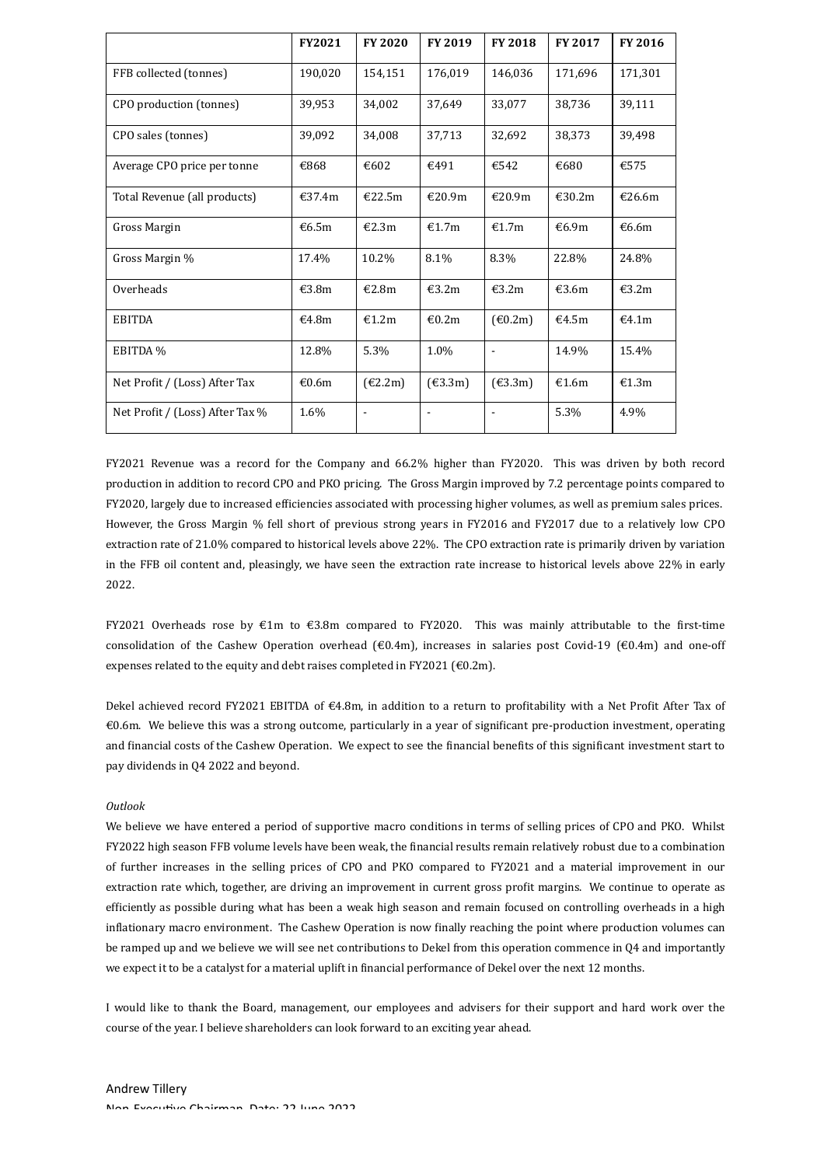|                                 | FY2021  | FY 2020                      | FY 2019                      | FY 2018                      | FY 2017 | FY 2016 |
|---------------------------------|---------|------------------------------|------------------------------|------------------------------|---------|---------|
| FFB collected (tonnes)          | 190,020 | 154,151                      | 176,019                      | 146,036                      | 171,696 | 171,301 |
| CPO production (tonnes)         | 39,953  | 34,002                       | 37,649                       | 33,077                       | 38,736  | 39,111  |
| CPO sales (tonnes)              | 39,092  | 34,008                       | 37,713                       | 32,692                       | 38,373  | 39,498  |
| Average CPO price per tonne     | €868    | €602                         | €491                         | €542                         | €680    | €575    |
| Total Revenue (all products)    | €37.4m  | €22.5m                       | €20.9m                       | €20.9m                       | €30.2m  | €26.6m  |
| Gross Margin                    | €6.5m   | €2.3m                        | €1.7m                        | €1.7 $m$                     | €6.9m   | €6.6m   |
| Gross Margin %                  | 17.4%   | 10.2%                        | 8.1%                         | 8.3%                         | 22.8%   | 24.8%   |
| Overheads                       | €3.8m   | €2.8m                        | €3.2m                        | €3.2m                        | €3.6m   | €3.2m   |
| <b>EBITDA</b>                   | €4.8m   | €1.2m                        | €0.2m                        | $(\text{\textsterling}0.2m)$ | €4.5m   | €4.1m   |
| EBITDA %                        | 12.8%   | 5.3%                         | 1.0%                         | $\blacksquare$               | 14.9%   | 15.4%   |
| Net Profit / (Loss) After Tax   | €0.6m   | $(\text{\textsterling}2.2m)$ | $(\text{\textsterling}3.3m)$ | $(\text{\textsterling}3.3m)$ | €1.6m   | €1.3m   |
| Net Profit / (Loss) After Tax % | 1.6%    |                              |                              |                              | 5.3%    | 4.9%    |

FY2021 Revenue was a record for the Company and 66.2% higher than FY2020. This was driven by both record production in addition to record CPO and PKO pricing. The Gross Margin improved by 7.2 percentage points compared to FY2020, largely due to increased efficiencies associated with processing higher volumes, as well as premium sales prices. However, the Gross Margin % fell short of previous strong years in FY2016 and FY2017 due to a relatively low CPO extraction rate of 21.0% compared to historical levels above 22%. The CPO extraction rate is primarily driven by variation in the FFB oil content and, pleasingly, we have seen the extraction rate increase to historical levels above 22% in early 2022.

FY2021 Overheads rose by  $\epsilon$ 1m to  $\epsilon$ 3.8m compared to FY2020. This was mainly attributable to the first-time consolidation of the Cashew Operation overhead  $(€0.4m)$ , increases in salaries post Covid-19  $(€0.4m)$  and one-off expenses related to the equity and debt raises completed in FY2021 ( $€0.2m$ ).

Dekel achieved record FY2021 EBITDA of  $\epsilon$ 4.8m, in addition to a return to profitability with a Net Profit After Tax of €0.6m. We believe this was a strong outcome, particularly in a year of significant pre-production investment, operating and financial costs of the Cashew Operation. We expect to see the financial benefits of this significant investment start to pay dividends in 04 2022 and beyond.

### *Outlook*

We believe we have entered a period of supportive macro conditions in terms of selling prices of CPO and PKO. Whilst FY2022 high season FFB volume levels have been weak, the financial results remain relatively robust due to a combination of further increases in the selling prices of CPO and PKO compared to FY2021 and a material improvement in our extraction rate which, together, are driving an improvement in current gross profit margins. We continue to operate as efficiently as possible during what has been a weak high season and remain focused on controlling overheads in a high inflationary macro environment. The Cashew Operation is now finally reaching the point where production volumes can be ramped up and we believe we will see net contributions to Dekel from this operation commence in Q4 and importantly we expect it to be a catalyst for a material uplift in financial performance of Dekel over the next 12 months.

I would like to thank the Board, management, our employees and advisers for their support and hard work over the course of the year. I believe shareholders can look forward to an exciting year ahead.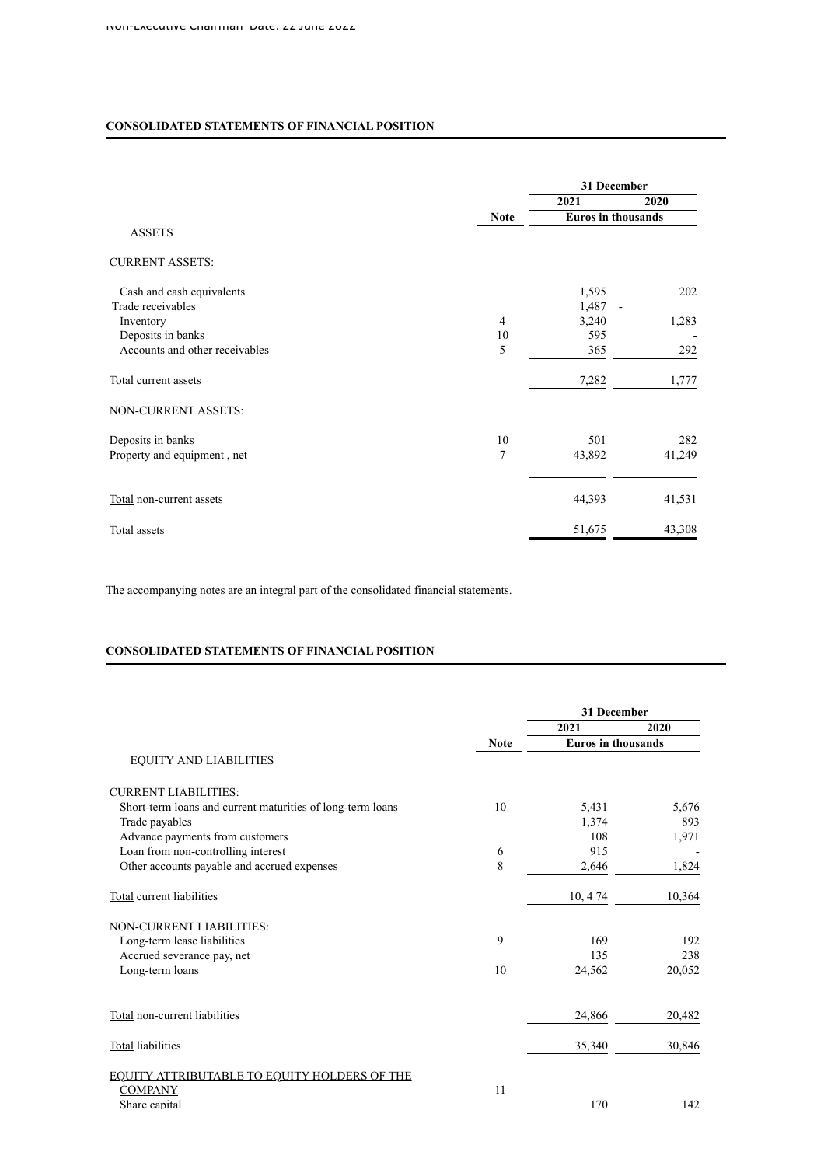# **CONSOLIDATED STATEMENTS OF FINANCIAL POSITION**

|                                |                | 31 December               |        |
|--------------------------------|----------------|---------------------------|--------|
|                                |                | 2021                      | 2020   |
|                                | <b>Note</b>    | <b>Euros</b> in thousands |        |
| <b>ASSETS</b>                  |                |                           |        |
| <b>CURRENT ASSETS:</b>         |                |                           |        |
| Cash and cash equivalents      |                | 1,595                     | 202    |
| Trade receivables              |                | 1,487                     |        |
| Inventory                      | $\overline{4}$ | 3,240                     | 1,283  |
| Deposits in banks              | 10             | 595                       |        |
| Accounts and other receivables | 5              | 365                       | 292    |
| Total current assets           |                | 7,282                     | 1,777  |
| NON-CURRENT ASSETS:            |                |                           |        |
| Deposits in banks              | 10             | 501                       | 282    |
| Property and equipment, net    | 7              | 43,892                    | 41,249 |
|                                |                |                           |        |
| Total non-current assets       |                | 44,393                    | 41,531 |
| Total assets                   |                | 51,675                    | 43,308 |

The accompanying notes are an integral part of the consolidated financial statements.

# **CONSOLIDATED STATEMENTS OF FINANCIAL POSITION**

|                                                            |             | 31 December               |        |
|------------------------------------------------------------|-------------|---------------------------|--------|
|                                                            |             | 2021                      | 2020   |
|                                                            | <b>Note</b> | <b>Euros in thousands</b> |        |
| <b>EQUITY AND LIABILITIES</b>                              |             |                           |        |
| <b>CURRENT LIABILITIES:</b>                                |             |                           |        |
| Short-term loans and current maturities of long-term loans | 10          | 5,431                     | 5,676  |
| Trade payables                                             |             | 1,374                     | 893    |
| Advance payments from customers                            |             | 108                       | 1,971  |
| Loan from non-controlling interest                         | 6           | 915                       |        |
| Other accounts payable and accrued expenses                | 8           | 2,646                     | 1,824  |
| Total current liabilities                                  |             | 10, 4 74                  | 10,364 |
| <b>NON-CURRENT LIABILITIES:</b>                            |             |                           |        |
| Long-term lease liabilities                                | 9           | 169                       | 192    |
| Accrued severance pay, net                                 |             | 135                       | 238    |
| Long-term loans                                            | 10          | 24,562                    | 20,052 |
|                                                            |             |                           |        |
| Total non-current liabilities                              |             | 24,866                    | 20,482 |
| Total liabilities                                          |             | 35,340                    | 30,846 |
| <b>EQUITY ATTRIBUTABLE TO EQUITY HOLDERS OF THE</b>        |             |                           |        |
| <b>COMPANY</b>                                             | 11          |                           |        |
| Share capital                                              |             | 170                       | 142    |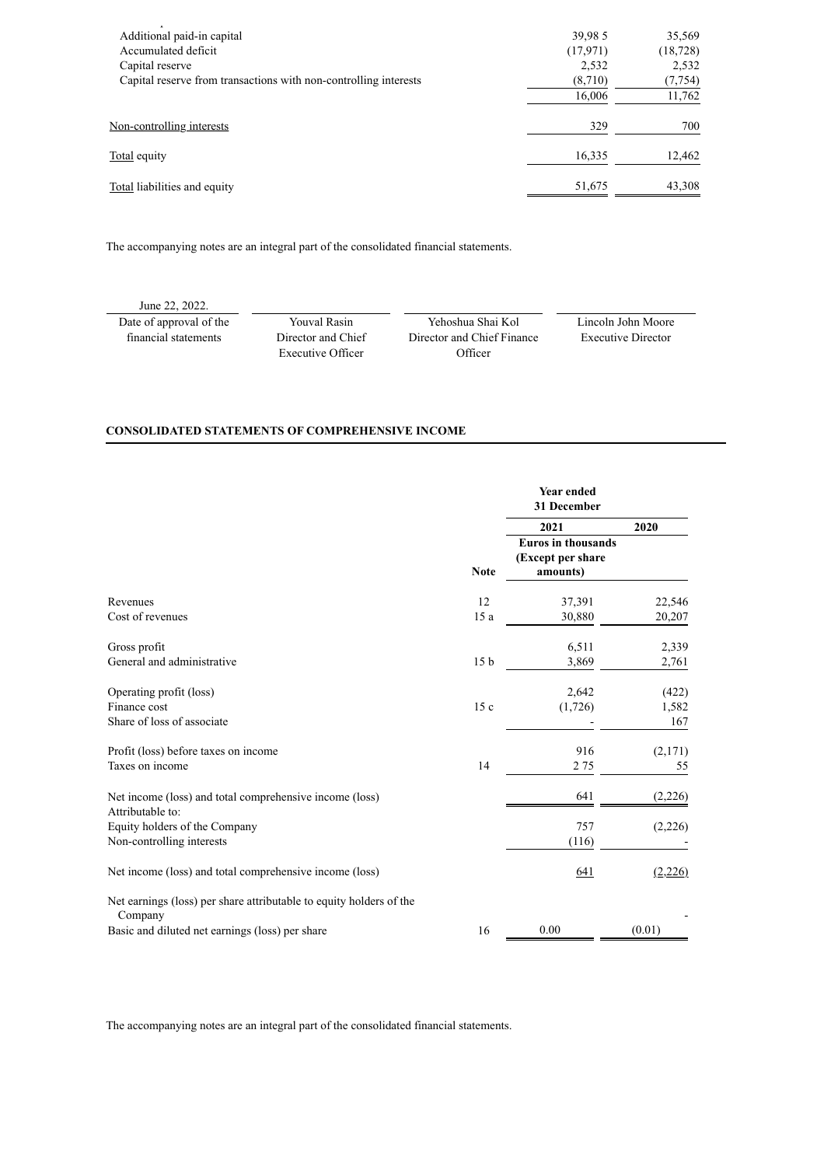| Additional paid-in capital                                       | 39.985   | 35,569    |
|------------------------------------------------------------------|----------|-----------|
| Accumulated deficit                                              | (17,971) | (18, 728) |
| Capital reserve                                                  | 2,532    | 2,532     |
| Capital reserve from transactions with non-controlling interests | (8,710)  | (7, 754)  |
|                                                                  | 16,006   | 11,762    |
| Non-controlling interests                                        | 329      | 700       |
| <b>Total</b> equity                                              | 16,335   | 12,462    |
| Total liabilities and equity                                     | 51,675   | 43,308    |
|                                                                  |          |           |

The accompanying notes are an integral part of the consolidated financial statements.

June 22, 2022. Date of approval of the Youval Rasin Yehoshua Shai Kol Lincoln John Moore

financial statements Director and Chief

Executive Officer

Director and Chief Finance Officer

Executive Director

# **CONSOLIDATED STATEMENTS OF COMPREHENSIVE INCOME**

|                                                                                |                 | Year ended<br>31 December                                  |              |
|--------------------------------------------------------------------------------|-----------------|------------------------------------------------------------|--------------|
|                                                                                |                 | 2021                                                       | 2020         |
|                                                                                | <b>Note</b>     | <b>Euros in thousands</b><br>(Except per share<br>amounts) |              |
| Revenues                                                                       | 12              | 37,391                                                     | 22,546       |
| Cost of revenues                                                               | 15a             | 30,880                                                     | 20,207       |
| Gross profit<br>General and administrative                                     | 15 <sub>b</sub> | 6,511<br>3,869                                             | 2,339        |
|                                                                                |                 |                                                            | 2,761        |
| Operating profit (loss)<br>Finance cost                                        | 15c             | 2,642                                                      | (422)        |
| Share of loss of associate                                                     |                 | (1,726)                                                    | 1,582<br>167 |
| Profit (loss) before taxes on income                                           |                 | 916                                                        | (2,171)      |
| Taxes on income                                                                | 14              | 275                                                        | 55           |
| Net income (loss) and total comprehensive income (loss)<br>Attributable to:    |                 | 641                                                        | (2,226)      |
| Equity holders of the Company                                                  |                 | 757                                                        | (2,226)      |
| Non-controlling interests                                                      |                 | (116)                                                      |              |
| Net income (loss) and total comprehensive income (loss)                        |                 | 641                                                        | (2,226)      |
| Net earnings (loss) per share attributable to equity holders of the<br>Company |                 |                                                            |              |
| Basic and diluted net earnings (loss) per share                                | 16              | 0.00                                                       | (0.01)       |

The accompanying notes are an integral part of the consolidated financial statements.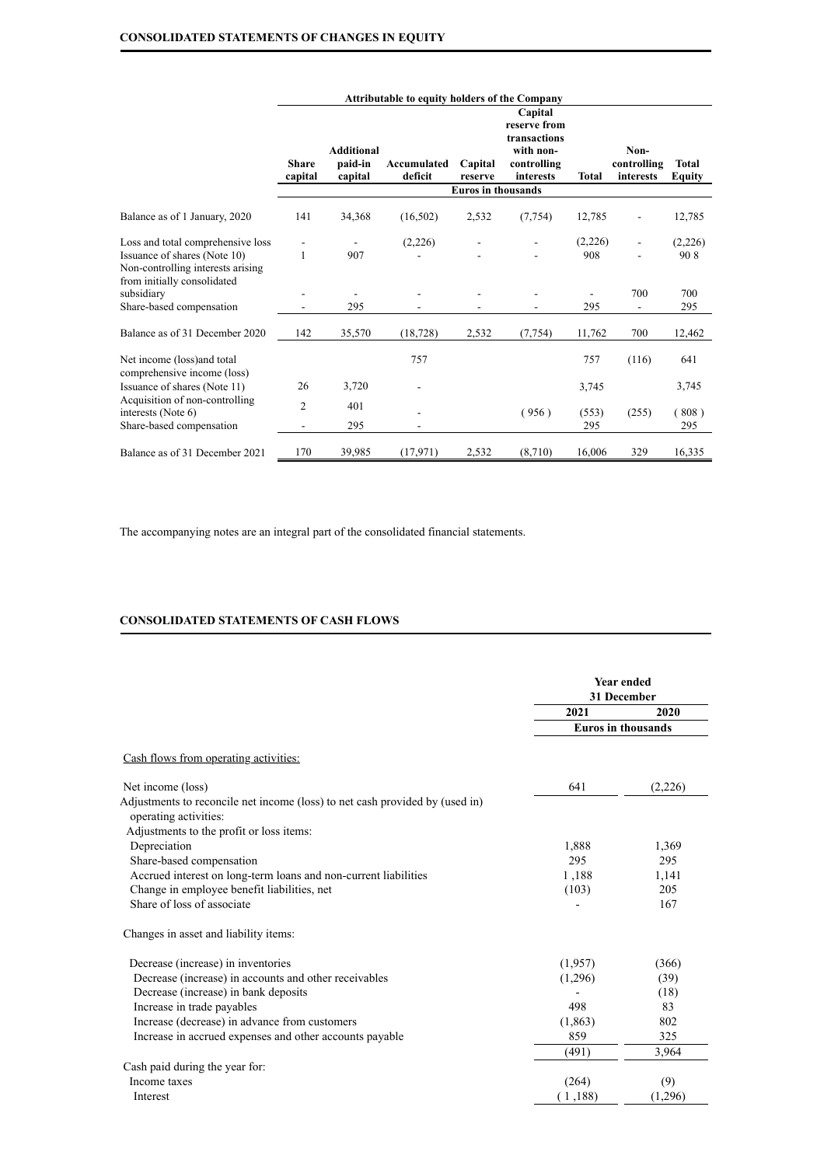|                                                                                                  |                         |                                         | Attributable to equity holders of the Company |                           |                                                                                         |              |                                  |                        |
|--------------------------------------------------------------------------------------------------|-------------------------|-----------------------------------------|-----------------------------------------------|---------------------------|-----------------------------------------------------------------------------------------|--------------|----------------------------------|------------------------|
|                                                                                                  | <b>Share</b><br>capital | <b>Additional</b><br>paid-in<br>capital | Accumulated<br>deficit                        | Capital<br>reserve        | Capital<br>reserve from<br>transactions<br>with non-<br>controlling<br><b>interests</b> | <b>Total</b> | Non-<br>controlling<br>interests | <b>Total</b><br>Equity |
|                                                                                                  |                         |                                         |                                               | <b>Euros in thousands</b> |                                                                                         |              |                                  |                        |
| Balance as of 1 January, 2020                                                                    | 141                     | 34,368                                  | (16, 502)                                     | 2,532                     | (7, 754)                                                                                | 12,785       | $\overline{\phantom{a}}$         | 12,785                 |
| Loss and total comprehensive loss                                                                |                         |                                         | (2,226)                                       |                           |                                                                                         | (2,226)      |                                  | (2,226)                |
| Issuance of shares (Note 10)<br>Non-controlling interests arising<br>from initially consolidated | 1                       | 907                                     |                                               |                           |                                                                                         | 908          |                                  | 90 8                   |
| subsidiary                                                                                       |                         |                                         |                                               |                           |                                                                                         |              | 700                              | 700                    |
| Share-based compensation                                                                         |                         | 295                                     |                                               |                           |                                                                                         | 295          |                                  | 295                    |
| Balance as of 31 December 2020                                                                   | 142                     | 35,570                                  | (18, 728)                                     | 2,532                     | (7, 754)                                                                                | 11,762       | 700                              | 12,462                 |
| Net income (loss) and total<br>comprehensive income (loss)                                       |                         |                                         | 757                                           |                           |                                                                                         | 757          | (116)                            | 641                    |
| Issuance of shares (Note 11)                                                                     | 26                      | 3,720                                   |                                               |                           |                                                                                         | 3,745        |                                  | 3,745                  |
| Acquisition of non-controlling<br>interests (Note 6)                                             | $\overline{2}$          | 401                                     |                                               |                           | (956)                                                                                   | (553)        | (255)                            | (808)                  |
| Share-based compensation                                                                         |                         | 295                                     |                                               |                           |                                                                                         | 295          |                                  | 295                    |
| Balance as of 31 December 2021                                                                   | 170                     | 39,985                                  | (17, 971)                                     | 2,532                     | (8,710)                                                                                 | 16,006       | 329                              | 16,335                 |

The accompanying notes are an integral part of the consolidated financial statements.

# **CONSOLIDATED STATEMENTS OF CASH FLOWS**

|                                                                                                       | <b>Year ended</b><br>31 December |         |
|-------------------------------------------------------------------------------------------------------|----------------------------------|---------|
|                                                                                                       | 2021                             | 2020    |
|                                                                                                       | <b>Euros in thousands</b>        |         |
| Cash flows from operating activities:                                                                 |                                  |         |
| Net income (loss)                                                                                     | 641                              | (2,226) |
| Adjustments to reconcile net income (loss) to net cash provided by (used in)<br>operating activities: |                                  |         |
| Adjustments to the profit or loss items:                                                              |                                  |         |
| Depreciation                                                                                          | 1,888                            | 1,369   |
| Share-based compensation                                                                              | 295                              | 295     |
| Accrued interest on long-term loans and non-current liabilities                                       | 1,188                            | 1,141   |
| Change in employee benefit liabilities, net                                                           | (103)                            | 205     |
| Share of loss of associate                                                                            |                                  | 167     |
| Changes in asset and liability items:                                                                 |                                  |         |
| Decrease (increase) in inventories                                                                    | (1,957)                          | (366)   |
| Decrease (increase) in accounts and other receivables                                                 | (1,296)                          | (39)    |
| Decrease (increase) in bank deposits                                                                  |                                  | (18)    |
| Increase in trade payables                                                                            | 498                              | 83      |
| Increase (decrease) in advance from customers                                                         | (1, 863)                         | 802     |
| Increase in accrued expenses and other accounts payable                                               | 859                              | 325     |
|                                                                                                       | (491)                            | 3,964   |
| Cash paid during the year for:                                                                        |                                  |         |
| Income taxes                                                                                          | (264)                            | (9)     |
| Interest                                                                                              | 1,188)                           | (1,296) |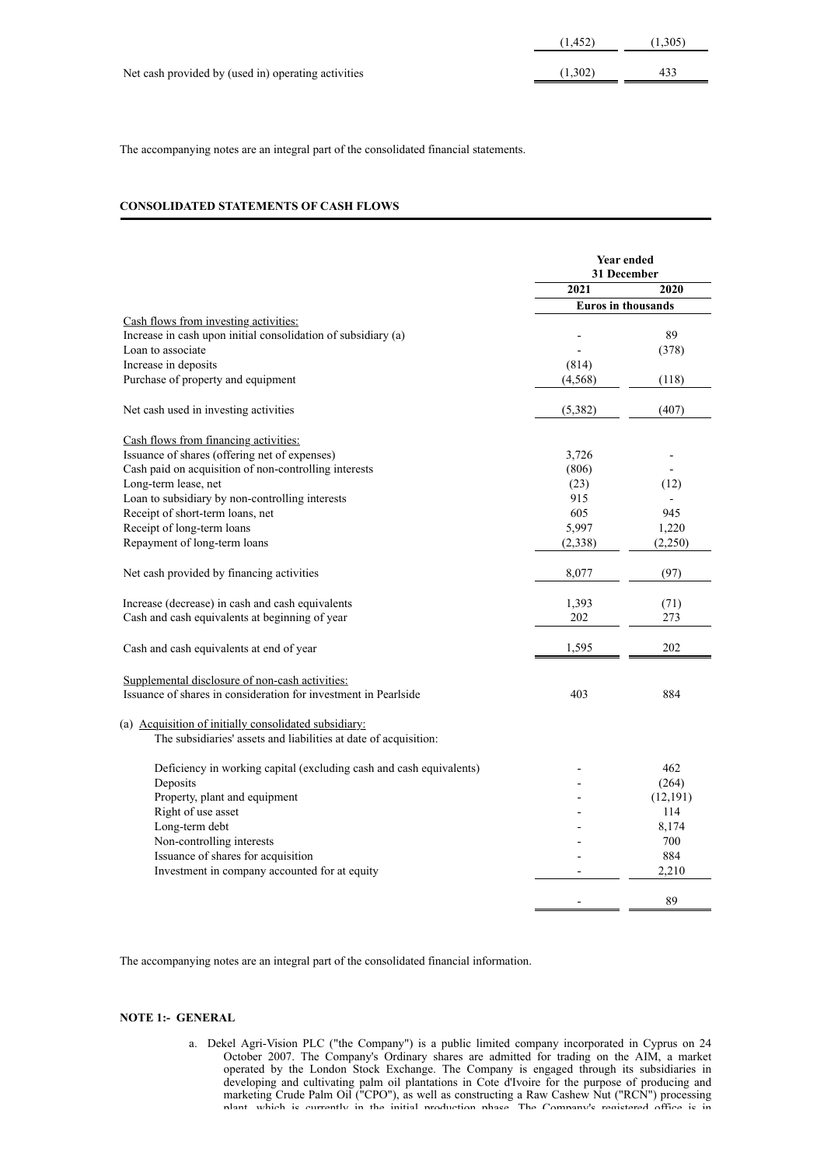|                                                     | (1.452) | (1.305) |
|-----------------------------------------------------|---------|---------|
|                                                     |         |         |
| Net cash provided by (used in) operating activities | (1.302) | 433     |

The accompanying notes are an integral part of the consolidated financial statements.

## **CONSOLIDATED STATEMENTS OF CASH FLOWS**

|                                                                     | <b>Year ended</b><br>31 December |                           |
|---------------------------------------------------------------------|----------------------------------|---------------------------|
|                                                                     | 2021                             | 2020                      |
|                                                                     |                                  | <b>Euros in thousands</b> |
| Cash flows from investing activities:                               |                                  |                           |
| Increase in cash upon initial consolidation of subsidiary (a)       |                                  | 89                        |
| Loan to associate                                                   |                                  | (378)                     |
| Increase in deposits                                                | (814)                            |                           |
| Purchase of property and equipment                                  | (4, 568)                         | (118)                     |
| Net cash used in investing activities                               | (5,382)                          | (407)                     |
| Cash flows from financing activities:                               |                                  |                           |
| Issuance of shares (offering net of expenses)                       | 3,726                            |                           |
| Cash paid on acquisition of non-controlling interests               | (806)                            |                           |
| Long-term lease, net                                                | (23)                             | (12)                      |
| Loan to subsidiary by non-controlling interests                     | 915                              |                           |
| Receipt of short-term loans, net                                    | 605                              | 945                       |
| Receipt of long-term loans                                          | 5,997                            | 1,220                     |
| Repayment of long-term loans                                        | (2, 338)                         | (2,250)                   |
| Net cash provided by financing activities                           | 8,077                            | (97)                      |
|                                                                     | 1,393                            | (71)                      |
| Increase (decrease) in cash and cash equivalents                    |                                  |                           |
| Cash and cash equivalents at beginning of year                      | 202                              | 273                       |
| Cash and cash equivalents at end of year                            | 1,595                            | 202                       |
| Supplemental disclosure of non-cash activities:                     |                                  |                           |
| Issuance of shares in consideration for investment in Pearlside     | 403                              | 884                       |
| (a) Acquisition of initially consolidated subsidiary:               |                                  |                           |
| The subsidiaries' assets and liabilities at date of acquisition:    |                                  |                           |
| Deficiency in working capital (excluding cash and cash equivalents) |                                  | 462                       |
| Deposits                                                            |                                  | (264)                     |
| Property, plant and equipment                                       |                                  | (12, 191)                 |
| Right of use asset                                                  |                                  | 114                       |
| Long-term debt                                                      |                                  | 8,174                     |
| Non-controlling interests                                           |                                  | 700                       |
| Issuance of shares for acquisition                                  |                                  | 884                       |
| Investment in company accounted for at equity                       |                                  | 2,210                     |
|                                                                     |                                  | 89                        |

The accompanying notes are an integral part of the consolidated financial information.

### **NOTE 1:- GENERAL**

a. Dekel Agri-Vision PLC ("the Company") is a public limited company incorporated in Cyprus on 24 October 2007. The Company's Ordinary shares are admitted for trading on the AIM, a market operated by the London Stock Exchange. The Company is engaged through its subsidiaries in developing and cultivating palm oil plantations in Cote d'Ivoire for the purpose of producing and marketing Crude Palm Oil ("CPO"), as well as constructing a Raw Cashew Nut ("RCN") processing plant, which is currently in the initial production phase. The Company's registered office is in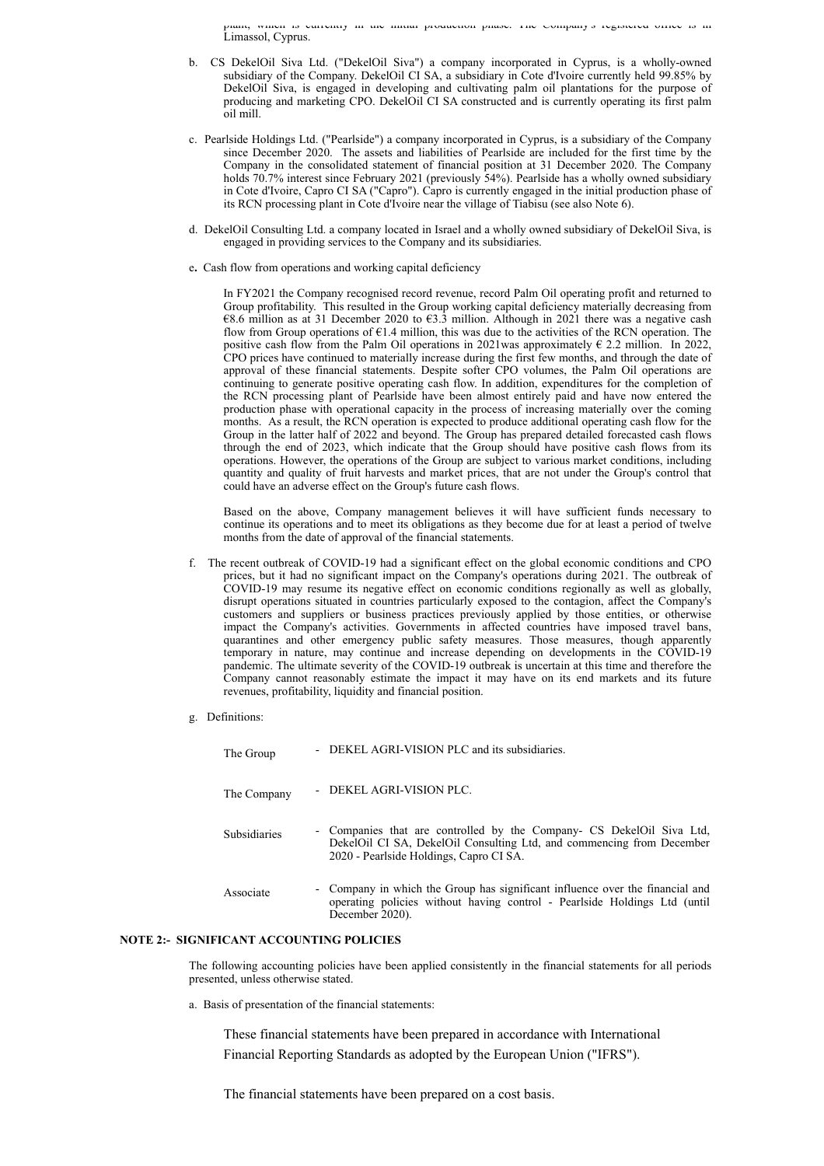plant, which is currently in the initial production phase. The Company's registered office is in Limassol, Cyprus.

- b. CS DekelOil Siva Ltd. ("DekelOil Siva") a company incorporated in Cyprus, is a wholly-owned subsidiary of the Company. DekelOil CI SA, a subsidiary in Cote d'Ivoire currently held 99.85% by DekelOil Siva, is engaged in developing and cultivating palm oil plantations for the purpose of producing and marketing CPO. DekelOil CI SA constructed and is currently operating its first palm oil mill.
- c. Pearlside Holdings Ltd. ("Pearlside") a company incorporated in Cyprus, is a subsidiary of the Company since December 2020. The assets and liabilities of Pearlside are included for the first time by the Company in the consolidated statement of financial position at 31 December 2020. The Company holds 70.7% interest since February 2021 (previously 54%). Pearlside has a wholly owned subsidiary in Cote d'Ivoire, Capro CI SA ("Capro"). Capro is currently engaged in the initial production phase of its RCN processing plant in Cote d'Ivoire near the village of Tiabisu (see also Note 6).
- d. DekelOil Consulting Ltd. a company located in Israel and a wholly owned subsidiary of DekelOil Siva, is engaged in providing services to the Company and its subsidiaries.
- e**.** Cash flow from operations and working capital deficiency

 In FY2021 the Company recognised record revenue, record Palm Oil operating profit and returned to Group profitability. This resulted in the Group working capital deficiency materially decreasing from €8.6 million as at 31 December 2020 to €3.3 million. Although in 2021 there was a negative cash flow from Group operations of  $E1.4$  million, this was due to the activities of the RCN operation. The positive cash flow from the Palm Oil operations in 2021was approximately  $\epsilon$  2.2 million. In 2022, CPO prices have continued to materially increase during the first few months, and through the date of approval of these financial statements. Despite softer CPO volumes, the Palm Oil operations are continuing to generate positive operating cash flow. In addition, expenditures for the completion of the RCN processing plant of Pearlside have been almost entirely paid and have now entered the production phase with operational capacity in the process of increasing materially over the coming months. As a result, the RCN operation is expected to produce additional operating cash flow for the Group in the latter half of 2022 and beyond. The Group has prepared detailed forecasted cash flows through the end of 2023, which indicate that the Group should have positive cash flows from its operations. However, the operations of the Group are subject to various market conditions, including quantity and quality of fruit harvests and market prices, that are not under the Group's control that could have an adverse effect on the Group's future cash flows.

Based on the above, Company management believes it will have sufficient funds necessary to continue its operations and to meet its obligations as they become due for at least a period of twelve months from the date of approval of the financial statements.

- f. The recent outbreak of COVID-19 had a significant effect on the global economic conditions and CPO prices, but it had no significant impact on the Company's operations during 2021. The outbreak of COVID-19 may resume its negative effect on economic conditions regionally as well as globally, disrupt operations situated in countries particularly exposed to the contagion, affect the Company's customers and suppliers or business practices previously applied by those entities, or otherwise impact the Company's activities. Governments in affected countries have imposed travel bans, quarantines and other emergency public safety measures. Those measures, though apparently temporary in nature, may continue and increase depending on developments in the COVID-19 pandemic. The ultimate severity of the COVID-19 outbreak is uncertain at this time and therefore the Company cannot reasonably estimate the impact it may have on its end markets and its future revenues, profitability, liquidity and financial position.
- g. Definitions:

| The Group           | - DEKEL AGRI-VISION PLC and its subsidiaries.                                                                                                                                             |
|---------------------|-------------------------------------------------------------------------------------------------------------------------------------------------------------------------------------------|
| The Company         | - DEKEL AGRI-VISION PLC.                                                                                                                                                                  |
| <b>Subsidiaries</b> | - Companies that are controlled by the Company -CS DekelOil Siva Ltd,<br>DekelOil CI SA, DekelOil Consulting Ltd, and commencing from December<br>2020 - Pearlside Holdings, Capro CI SA. |
| Associate           | - Company in which the Group has significant influence over the financial and<br>operating policies without having control - Pearlside Holdings Ltd (until<br>December 2020).             |

#### **NOTE 2:- SIGNIFICANT ACCOUNTING POLICIES**

The following accounting policies have been applied consistently in the financial statements for all periods presented, unless otherwise stated.

a. Basis of presentation of the financial statements:

These financial statements have been prepared in accordance with International Financial Reporting Standards as adopted by the European Union ("IFRS").

The financial statements have been prepared on a cost basis.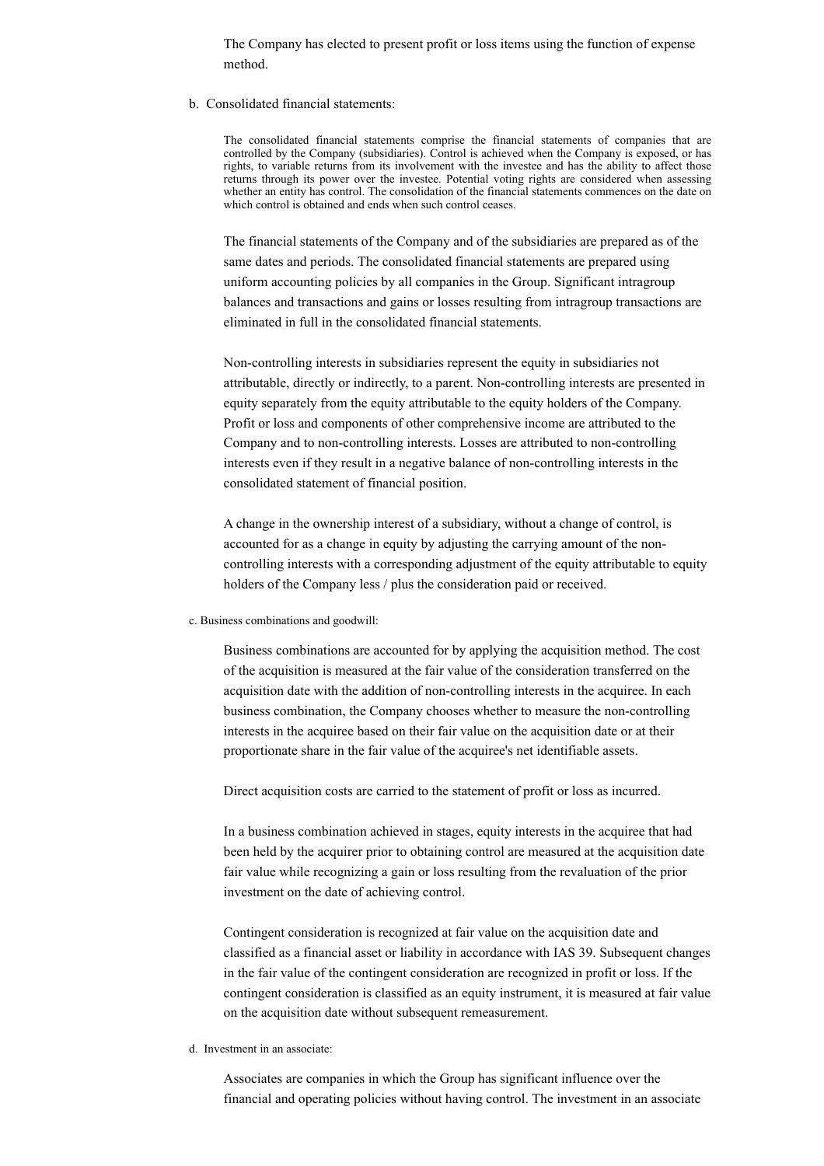The Company has elected to present profit or loss items using the function of expense method.

### b. Consolidated financial statements:

The consolidated financial statements comprise the financial statements of companies that are controlled by the Company (subsidiaries). Control is achieved when the Company is exposed, or has rights, to variable returns from its involvement with the investee and has the ability to affect those returns through its power over the investee. Potential voting rights are considered when assessing whether an entity has control. The consolidation of the financial statements commences on the date on which control is obtained and ends when such control ceases.

The financial statements of the Company and of the subsidiaries are prepared as of the same dates and periods. The consolidated financial statements are prepared using uniform accounting policies by all companies in the Group. Significant intragroup balances and transactions and gains or losses resulting from intragroup transactions are eliminated in full in the consolidated financial statements.

Non-controlling interests in subsidiaries represent the equity in subsidiaries not attributable, directly or indirectly, to a parent. Non-controlling interests are presented in equity separately from the equity attributable to the equity holders of the Company. Profit or loss and components of other comprehensive income are attributed to the Company and to non-controlling interests. Losses are attributed to non-controlling interests even if they result in a negative balance of non-controlling interests in the consolidated statement of financial position.

A change in the ownership interest of a subsidiary, without a change of control, is accounted for as a change in equity by adjusting the carrying amount of the noncontrolling interests with a corresponding adjustment of the equity attributable to equity holders of the Company less / plus the consideration paid or received.

#### c. Business combinations and goodwill:

Business combinations are accounted for by applying the acquisition method. The cost of the acquisition is measured at the fair value of the consideration transferred on the acquisition date with the addition of non-controlling interests in the acquiree. In each business combination, the Company chooses whether to measure the non-controlling interests in the acquiree based on their fair value on the acquisition date or at their proportionate share in the fair value of the acquiree's net identifiable assets.

Direct acquisition costs are carried to the statement of profit or loss as incurred.

In a business combination achieved in stages, equity interests in the acquiree that had been held by the acquirer prior to obtaining control are measured at the acquisition date fair value while recognizing a gain or loss resulting from the revaluation of the prior investment on the date of achieving control.

Contingent consideration is recognized at fair value on the acquisition date and classified as a financial asset or liability in accordance with IAS 39. Subsequent changes in the fair value of the contingent consideration are recognized in profit or loss. If the contingent consideration is classified as an equity instrument, it is measured at fair value on the acquisition date without subsequent remeasurement.

### d. Investment in an associate:

Associates are companies in which the Group has significant influence over the financial and operating policies without having control. The investment in an associate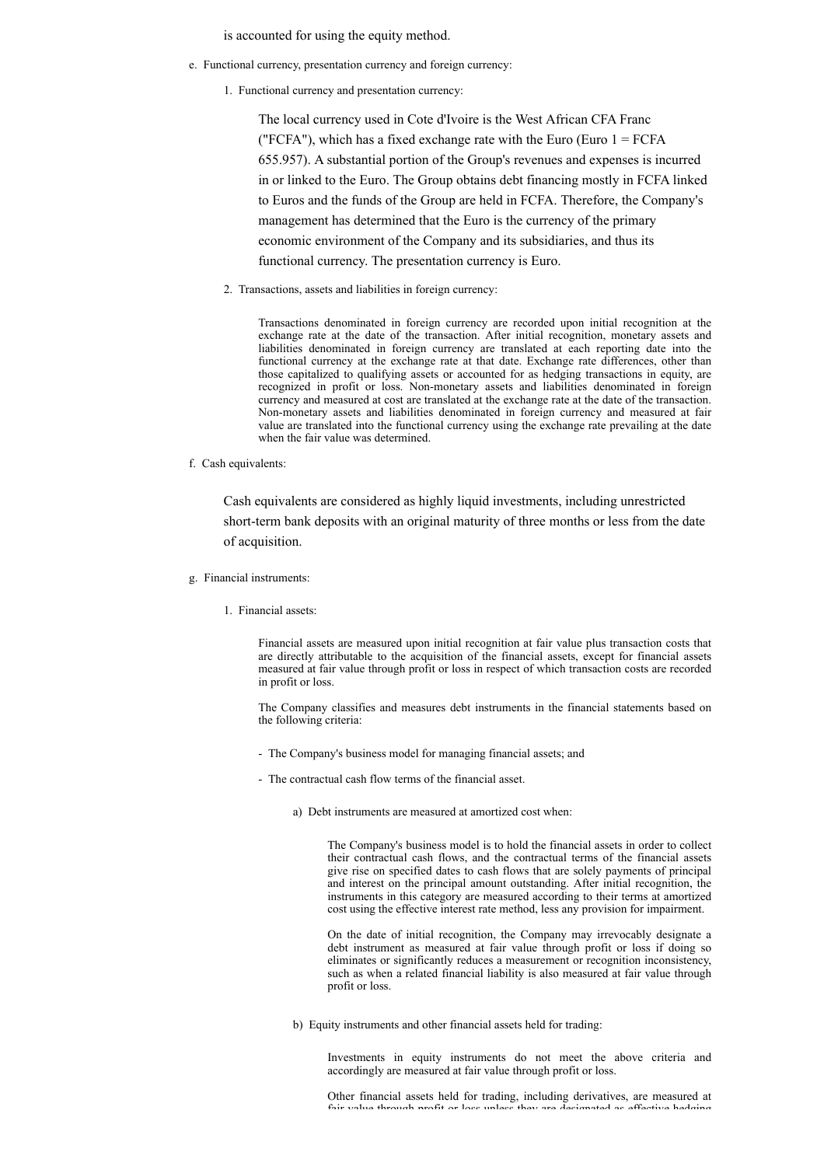is accounted for using the equity method.

- e. Functional currency, presentation currency and foreign currency:
	- 1. Functional currency and presentation currency:

The local currency used in Cote d'Ivoire is the West African CFA Franc ("FCFA"), which has a fixed exchange rate with the Euro (Euro  $1 = FCFA$ ) 655.957). A substantial portion of the Group's revenues and expenses is incurred in or linked to the Euro. The Group obtains debt financing mostly in FCFA linked to Euros and the funds of the Group are held in FCFA. Therefore, the Company's management has determined that the Euro is the currency of the primary economic environment of the Company and its subsidiaries, and thus its functional currency. The presentation currency is Euro.

2. Transactions, assets and liabilities in foreign currency:

Transactions denominated in foreign currency are recorded upon initial recognition at the exchange rate at the date of the transaction. After initial recognition, monetary assets and liabilities denominated in foreign currency are translated at each reporting date into the functional currency at the exchange rate at that date. Exchange rate differences, other than those capitalized to qualifying assets or accounted for as hedging transactions in equity, are recognized in profit or loss. Non-monetary assets and liabilities denominated in foreign currency and measured at cost are translated at the exchange rate at the date of the transaction. Non-monetary assets and liabilities denominated in foreign currency and measured at fair value are translated into the functional currency using the exchange rate prevailing at the date when the fair value was determined.

f. Cash equivalents:

Cash equivalents are considered as highly liquid investments, including unrestricted short-term bank deposits with an original maturity of three months or less from the date of acquisition.

- g. Financial instruments:
	- 1. Financial assets:

Financial assets are measured upon initial recognition at fair value plus transaction costs that are directly attributable to the acquisition of the financial assets, except for financial assets measured at fair value through profit or loss in respect of which transaction costs are recorded in profit or loss.

The Company classifies and measures debt instruments in the financial statements based on the following criteria:

- The Company's business model for managing financial assets; and
- The contractual cash flow terms of the financial asset.
	- a) Debt instruments are measured at amortized cost when:

The Company's business model is to hold the financial assets in order to collect their contractual cash flows, and the contractual terms of the financial assets give rise on specified dates to cash flows that are solely payments of principal and interest on the principal amount outstanding. After initial recognition, the instruments in this category are measured according to their terms at amortized cost using the effective interest rate method, less any provision for impairment.

On the date of initial recognition, the Company may irrevocably designate a debt instrument as measured at fair value through profit or loss if doing so eliminates or significantly reduces a measurement or recognition inconsistency, such as when a related financial liability is also measured at fair value through profit or loss.

b) Equity instruments and other financial assets held for trading:

Investments in equity instruments do not meet the above criteria and accordingly are measured at fair value through profit or loss.

Other financial assets held for trading, including derivatives, are measured at fair value through profit or loss unless they are designated as effective hedging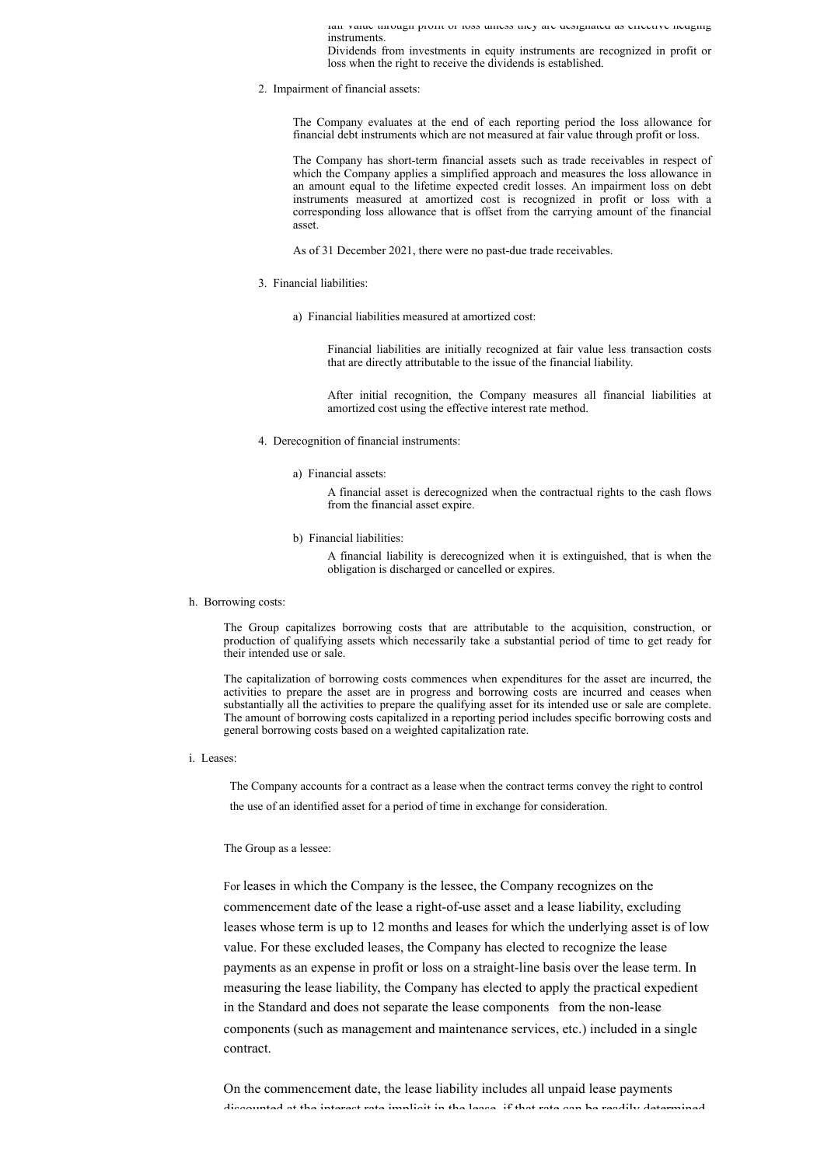fair value through profit or loss unless they are designated as effective hedging **instruments** 

Dividends from investments in equity instruments are recognized in profit or loss when the right to receive the dividends is established.

2. Impairment of financial assets:

The Company evaluates at the end of each reporting period the loss allowance for financial debt instruments which are not measured at fair value through profit or loss.

The Company has short-term financial assets such as trade receivables in respect of which the Company applies a simplified approach and measures the loss allowance in an amount equal to the lifetime expected credit losses. An impairment loss on debt instruments measured at amortized cost is recognized in profit or loss with a corresponding loss allowance that is offset from the carrying amount of the financial asset.

As of 31 December 2021, there were no past-due trade receivables.

- 3. Financial liabilities:
	- a) Financial liabilities measured at amortized cost:

Financial liabilities are initially recognized at fair value less transaction costs that are directly attributable to the issue of the financial liability.

After initial recognition, the Company measures all financial liabilities at amortized cost using the effective interest rate method.

- 4. Derecognition of financial instruments:
	- a) Financial assets:

A financial asset is derecognized when the contractual rights to the cash flows from the financial asset expire.

b) Financial liabilities:

A financial liability is derecognized when it is extinguished, that is when the obligation is discharged or cancelled or expires.

h. Borrowing costs:

The Group capitalizes borrowing costs that are attributable to the acquisition, construction, or production of qualifying assets which necessarily take a substantial period of time to get ready for their intended use or sale.

The capitalization of borrowing costs commences when expenditures for the asset are incurred, the activities to prepare the asset are in progress and borrowing costs are incurred and ceases when substantially all the activities to prepare the qualifying asset for its intended use or sale are complete. The amount of borrowing costs capitalized in a reporting period includes specific borrowing costs and general borrowing costs based on a weighted capitalization rate.

i. Leases:

The Company accounts for a contract as a lease when the contract terms convey the right to control the use of an identified asset for a period of time in exchange for consideration.

#### The Group as a lessee:

For leases in which the Company is the lessee, the Company recognizes on the commencement date of the lease a right-of-use asset and a lease liability, excluding leases whose term is up to 12 months and leases for which the underlying asset is of low value. For these excluded leases, the Company has elected to recognize the lease payments as an expense in profit or loss on a straight-line basis over the lease term. In measuring the lease liability, the Company has elected to apply the practical expedient in the Standard and does not separate the lease components from the non-lease components (such as management and maintenance services, etc.) included in a single contract.

On the commencement date, the lease liability includes all unpaid lease payments discounted at the interest rate implicit in the lease, if that rate can be readily determined,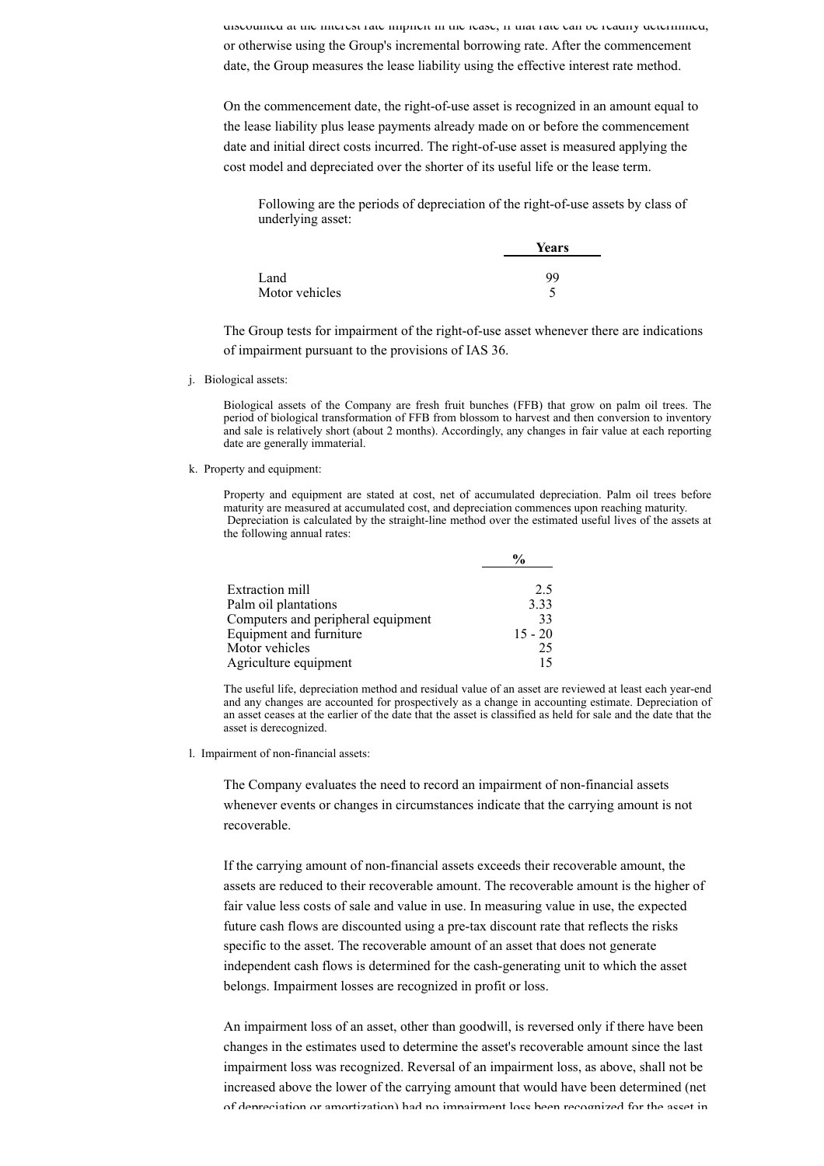discounted at the interest rate implicit in the lease, if that rate can be readily determined, or otherwise using the Group's incremental borrowing rate. After the commencement date, the Group measures the lease liability using the effective interest rate method.

On the commencement date, the right-of-use asset is recognized in an amount equal to the lease liability plus lease payments already made on or before the commencement date and initial direct costs incurred. The right-of-use asset is measured applying the cost model and depreciated over the shorter of its useful life or the lease term.

Following are the periods of depreciation of the right-of-use assets by class of underlying asset:

|                        | Years |
|------------------------|-------|
| Land<br>Motor vehicles | 99    |

The Group tests for impairment of the right-of-use asset whenever there are indications of impairment pursuant to the provisions of IAS 36.

j. Biological assets:

Biological assets of the Company are fresh fruit bunches (FFB) that grow on palm oil trees. The period of biological transformation of FFB from blossom to harvest and then conversion to inventory and sale is relatively short (about 2 months). Accordingly, any changes in fair value at each reporting date are generally immaterial.

k. Property and equipment:

Property and equipment are stated at cost, net of accumulated depreciation. Palm oil trees before maturity are measured at accumulated cost, and depreciation commences upon reaching maturity. Depreciation is calculated by the straight-line method over the estimated useful lives of the assets at the following annual rates:

|                                    | $\frac{0}{0}$ |
|------------------------------------|---------------|
| Extraction mill                    | 2.5           |
| Palm oil plantations               | 3.33          |
| Computers and peripheral equipment | 33            |
| Equipment and furniture            | $15 - 20$     |
| Motor vehicles                     | 25            |
| Agriculture equipment              |               |

The useful life, depreciation method and residual value of an asset are reviewed at least each year-end and any changes are accounted for prospectively as a change in accounting estimate. Depreciation of an asset ceases at the earlier of the date that the asset is classified as held for sale and the date that the asset is derecognized.

l. Impairment of non-financial assets:

The Company evaluates the need to record an impairment of non-financial assets whenever events or changes in circumstances indicate that the carrying amount is not recoverable.

If the carrying amount of non-financial assets exceeds their recoverable amount, the assets are reduced to their recoverable amount. The recoverable amount is the higher of fair value less costs of sale and value in use. In measuring value in use, the expected future cash flows are discounted using a pre-tax discount rate that reflects the risks specific to the asset. The recoverable amount of an asset that does not generate independent cash flows is determined for the cash-generating unit to which the asset belongs. Impairment losses are recognized in profit or loss.

An impairment loss of an asset, other than goodwill, is reversed only if there have been changes in the estimates used to determine the asset's recoverable amount since the last impairment loss was recognized. Reversal of an impairment loss, as above, shall not be increased above the lower of the carrying amount that would have been determined (net of depreciation or amortization) had no impairment loss been recognized for the asset in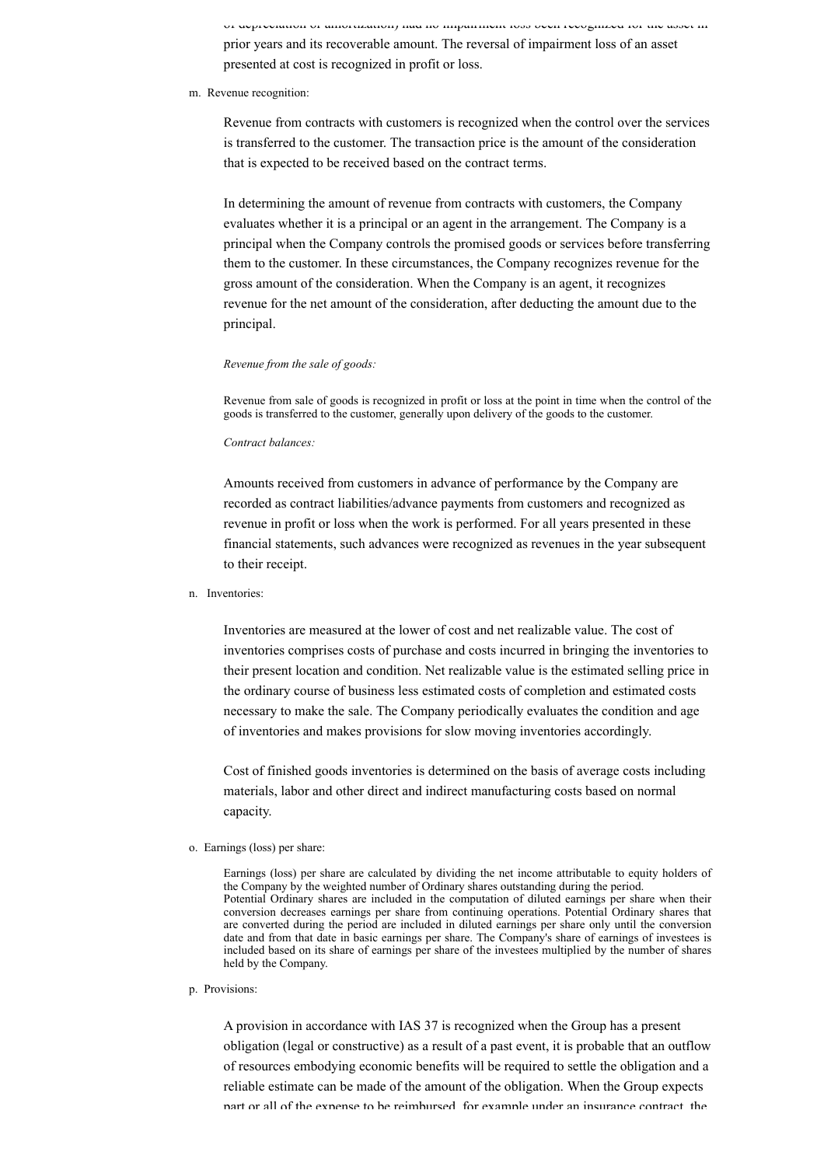of depreciation or amortization) had no impairment loss been recognized for the asset in prior years and its recoverable amount. The reversal of impairment loss of an asset presented at cost is recognized in profit or loss.

m. Revenue recognition:

Revenue from contracts with customers is recognized when the control over the services is transferred to the customer. The transaction price is the amount of the consideration that is expected to be received based on the contract terms.

In determining the amount of revenue from contracts with customers, the Company evaluates whether it is a principal or an agent in the arrangement. The Company is a principal when the Company controls the promised goods or services before transferring them to the customer. In these circumstances, the Company recognizes revenue for the gross amount of the consideration. When the Company is an agent, it recognizes revenue for the net amount of the consideration, after deducting the amount due to the principal.

#### *Revenue from the sale of goods:*

Revenue from sale of goods is recognized in profit or loss at the point in time when the control of the goods is transferred to the customer, generally upon delivery of the goods to the customer.

### *Contract balances:*

Amounts received from customers in advance of performance by the Company are recorded as contract liabilities/advance payments from customers and recognized as revenue in profit or loss when the work is performed. For all years presented in these financial statements, such advances were recognized as revenues in the year subsequent to their receipt.

n. Inventories:

Inventories are measured at the lower of cost and net realizable value. The cost of inventories comprises costs of purchase and costs incurred in bringing the inventories to their present location and condition. Net realizable value is the estimated selling price in the ordinary course of business less estimated costs of completion and estimated costs necessary to make the sale. The Company periodically evaluates the condition and age of inventories and makes provisions for slow moving inventories accordingly.

Cost of finished goods inventories is determined on the basis of average costs including materials, labor and other direct and indirect manufacturing costs based on normal capacity.

### o. Earnings (loss) per share:

Earnings (loss) per share are calculated by dividing the net income attributable to equity holders of the Company by the weighted number of Ordinary shares outstanding during the period. Potential Ordinary shares are included in the computation of diluted earnings per share when their conversion decreases earnings per share from continuing operations. Potential Ordinary shares that are converted during the period are included in diluted earnings per share only until the conversion date and from that date in basic earnings per share. The Company's share of earnings of investees is included based on its share of earnings per share of the investees multiplied by the number of shares held by the Company.

### p. Provisions:

A provision in accordance with IAS 37 is recognized when the Group has a present obligation (legal or constructive) as a result of a past event, it is probable that an outflow of resources embodying economic benefits will be required to settle the obligation and a reliable estimate can be made of the amount of the obligation. When the Group expects part or all of the expense to be reimbursed, for example under an insurance contract, the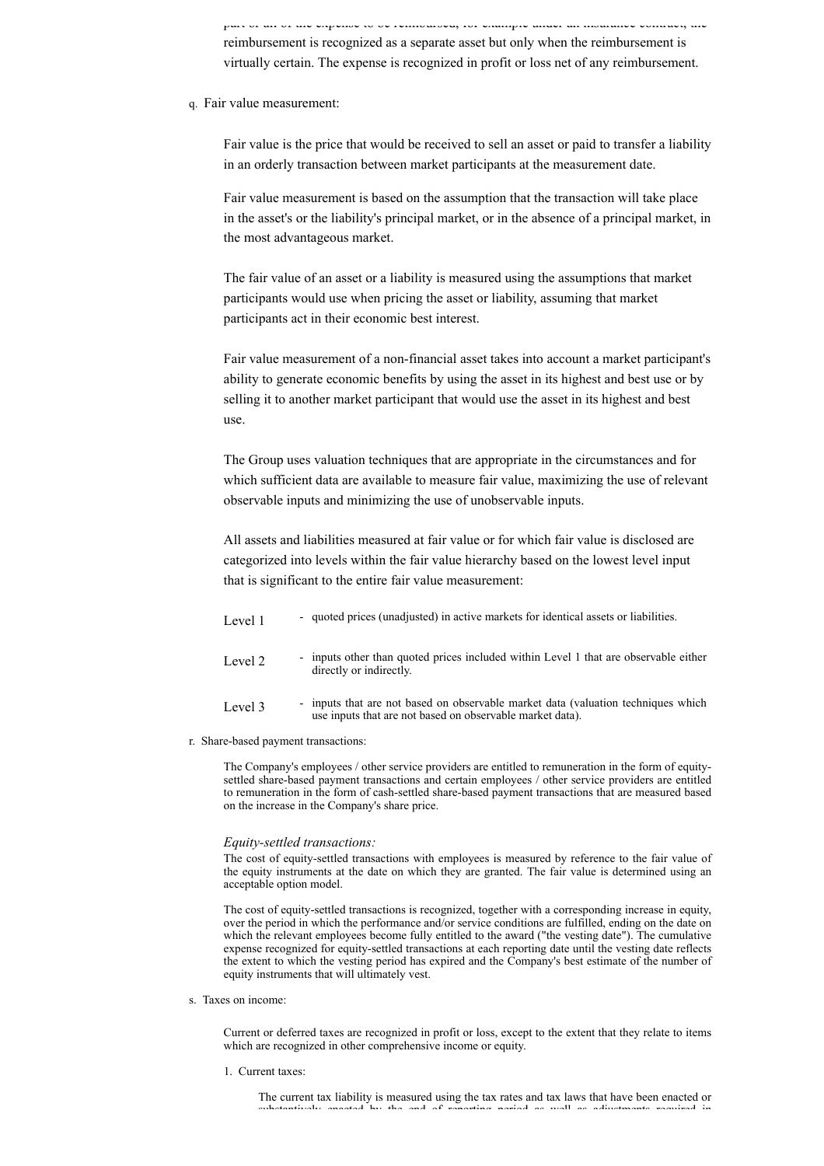part or all of the expense to be reimbursed, for example under an insurance contract, the reimbursement is recognized as a separate asset but only when the reimbursement is virtually certain. The expense is recognized in profit or loss net of any reimbursement.

### q. Fair value measurement:

Fair value is the price that would be received to sell an asset or paid to transfer a liability in an orderly transaction between market participants at the measurement date.

Fair value measurement is based on the assumption that the transaction will take place in the asset's or the liability's principal market, or in the absence of a principal market, in the most advantageous market.

The fair value of an asset or a liability is measured using the assumptions that market participants would use when pricing the asset or liability, assuming that market participants act in their economic best interest.

Fair value measurement of a non-financial asset takes into account a market participant's ability to generate economic benefits by using the asset in its highest and best use or by selling it to another market participant that would use the asset in its highest and best use.

The Group uses valuation techniques that are appropriate in the circumstances and for which sufficient data are available to measure fair value, maximizing the use of relevant observable inputs and minimizing the use of unobservable inputs.

All assets and liabilities measured at fair value or for which fair value is disclosed are categorized into levels within the fair value hierarchy based on the lowest level input that is significant to the entire fair value measurement:

| Level 1 | - quoted prices (unadjusted) in active markets for identical assets or liabilities.                                                            |
|---------|------------------------------------------------------------------------------------------------------------------------------------------------|
| Level 2 | - inputs other than quoted prices included within Level 1 that are observable either<br>directly or indirectly.                                |
| Level 3 | - inputs that are not based on observable market data (valuation techniques which<br>use inputs that are not based on observable market data). |

r. Share-based payment transactions:

The Company's employees / other service providers are entitled to remuneration in the form of equitysettled share-based payment transactions and certain employees / other service providers are entitled to remuneration in the form of cash-settled share-based payment transactions that are measured based on the increase in the Company's share price.

#### *Equity-settled transactions:*

The cost of equity-settled transactions with employees is measured by reference to the fair value of the equity instruments at the date on which they are granted. The fair value is determined using an acceptable option model.

The cost of equity-settled transactions is recognized, together with a corresponding increase in equity, over the period in which the performance and/or service conditions are fulfilled, ending on the date on which the relevant employees become fully entitled to the award ("the vesting date"). The cumulative expense recognized for equity-settled transactions at each reporting date until the vesting date reflects the extent to which the vesting period has expired and the Company's best estimate of the number of equity instruments that will ultimately vest.

s. Taxes on income:

Current or deferred taxes are recognized in profit or loss, except to the extent that they relate to items which are recognized in other comprehensive income or equity.

1. Current taxes: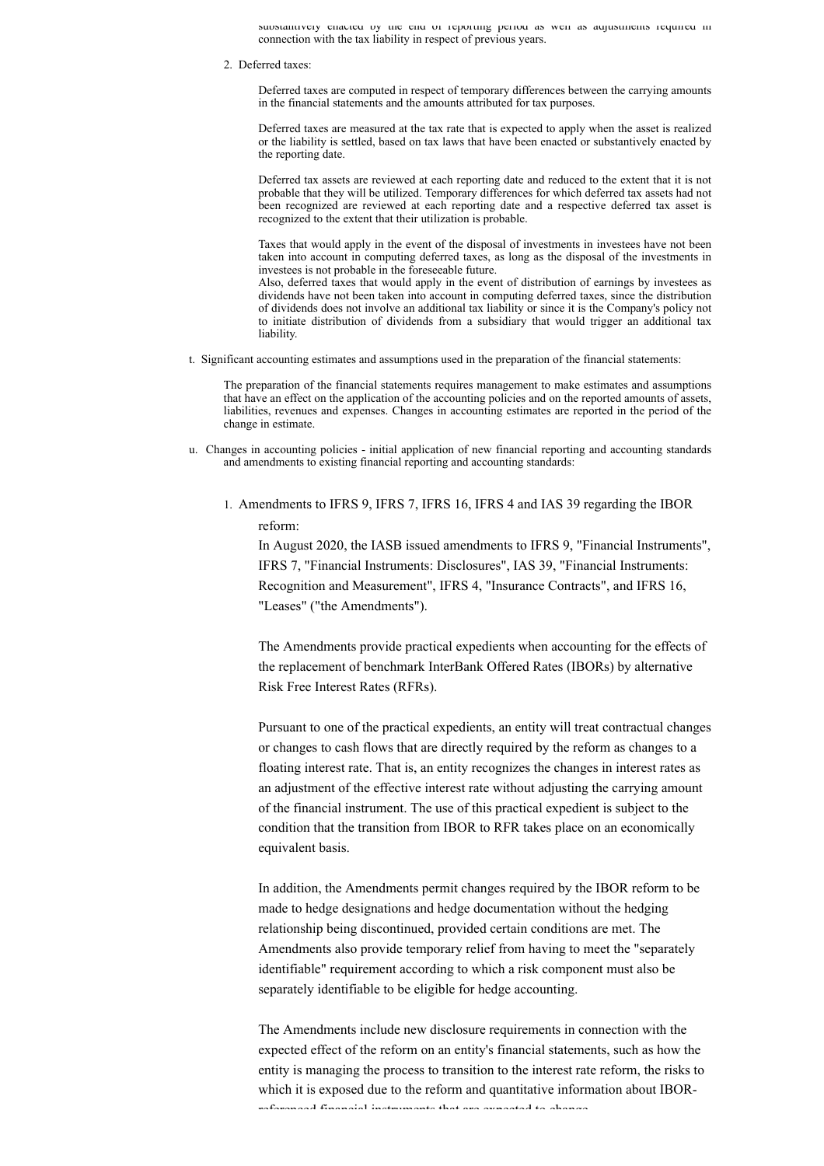substantively enacted by the end of reporting period as well as adjustments required in connection with the tax liability in respect of previous years.

2. Deferred taxes:

Deferred taxes are computed in respect of temporary differences between the carrying amounts in the financial statements and the amounts attributed for tax purposes.

Deferred taxes are measured at the tax rate that is expected to apply when the asset is realized or the liability is settled, based on tax laws that have been enacted or substantively enacted by the reporting date.

Deferred tax assets are reviewed at each reporting date and reduced to the extent that it is not probable that they will be utilized. Temporary differences for which deferred tax assets had not been recognized are reviewed at each reporting date and a respective deferred tax asset is recognized to the extent that their utilization is probable.

Taxes that would apply in the event of the disposal of investments in investees have not been taken into account in computing deferred taxes, as long as the disposal of the investments in investees is not probable in the foreseeable future.

Also, deferred taxes that would apply in the event of distribution of earnings by investees as dividends have not been taken into account in computing deferred taxes, since the distribution of dividends does not involve an additional tax liability or since it is the Company's policy not to initiate distribution of dividends from a subsidiary that would trigger an additional tax liability.

t. Significant accounting estimates and assumptions used in the preparation of the financial statements:

The preparation of the financial statements requires management to make estimates and assumptions that have an effect on the application of the accounting policies and on the reported amounts of assets, liabilities, revenues and expenses. Changes in accounting estimates are reported in the period of the change in estimate.

u. Changes in accounting policies - initial application of new financial reporting and accounting standards and amendments to existing financial reporting and accounting standards:

1. Amendments to IFRS 9, IFRS 7, IFRS 16, IFRS 4 and IAS 39 regarding the IBOR reform:

In August 2020, the IASB issued amendments to IFRS 9, "Financial Instruments", IFRS 7, "Financial Instruments: Disclosures", IAS 39, "Financial Instruments: Recognition and Measurement", IFRS 4, "Insurance Contracts", and IFRS 16, "Leases" ("the Amendments").

The Amendments provide practical expedients when accounting for the effects of the replacement of benchmark InterBank Offered Rates (IBORs) by alternative Risk Free Interest Rates (RFRs).

Pursuant to one of the practical expedients, an entity will treat contractual changes or changes to cash flows that are directly required by the reform as changes to a floating interest rate. That is, an entity recognizes the changes in interest rates as an adjustment of the effective interest rate without adjusting the carrying amount of the financial instrument. The use of this practical expedient is subject to the condition that the transition from IBOR to RFR takes place on an economically equivalent basis.

In addition, the Amendments permit changes required by the IBOR reform to be made to hedge designations and hedge documentation without the hedging relationship being discontinued, provided certain conditions are met. The Amendments also provide temporary relief from having to meet the "separately identifiable" requirement according to which a risk component must also be separately identifiable to be eligible for hedge accounting.

The Amendments include new disclosure requirements in connection with the expected effect of the reform on an entity's financial statements, such as how the entity is managing the process to transition to the interest rate reform, the risks to which it is exposed due to the reform and quantitative information about IBORreferenced financial instruments that are expected to change.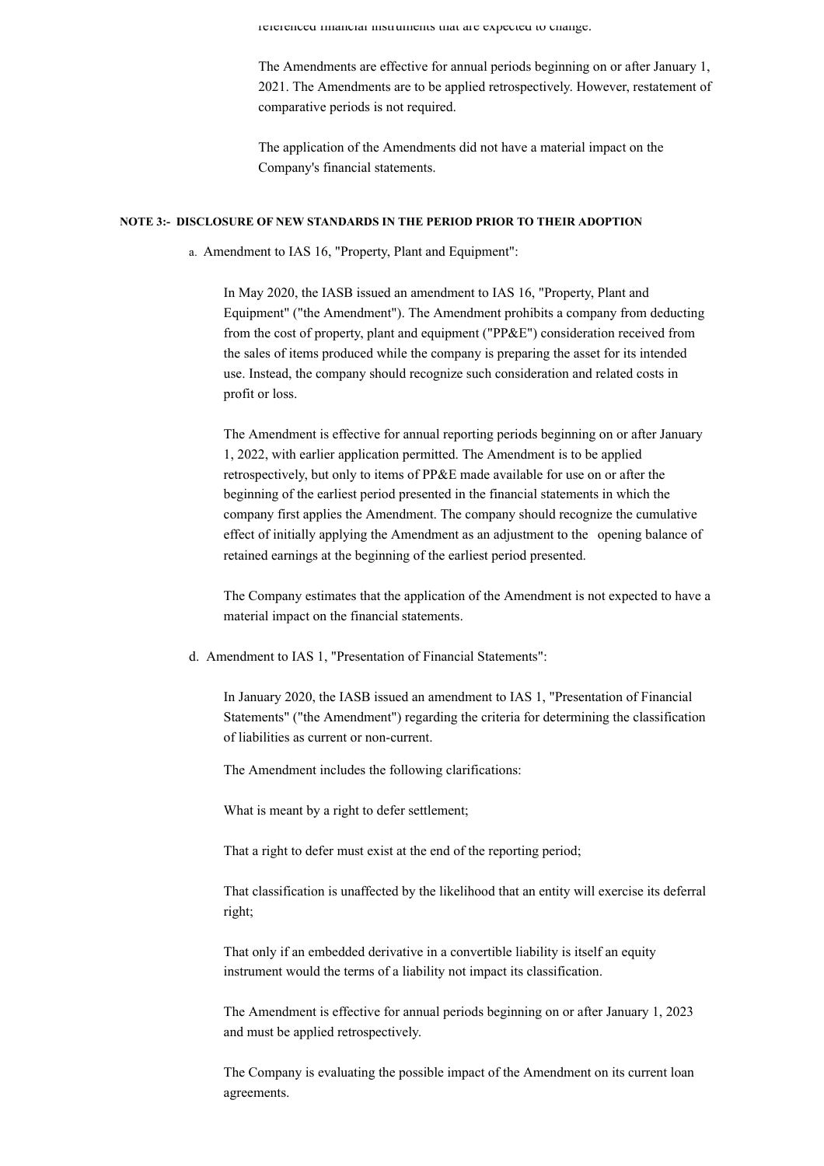referenced financial instruments that are expected to change.

The Amendments are effective for annual periods beginning on or after January 1, 2021. The Amendments are to be applied retrospectively. However, restatement of comparative periods is not required.

The application of the Amendments did not have a material impact on the Company's financial statements.

## **NOTE 3:- DISCLOSURE OF NEW STANDARDS IN THE PERIOD PRIOR TO THEIR ADOPTION**

a. Amendment to IAS 16, "Property, Plant and Equipment":

In May 2020, the IASB issued an amendment to IAS 16, "Property, Plant and Equipment" ("the Amendment"). The Amendment prohibits a company from deducting from the cost of property, plant and equipment ("PP&E") consideration received from the sales of items produced while the company is preparing the asset for its intended use. Instead, the company should recognize such consideration and related costs in profit or loss.

The Amendment is effective for annual reporting periods beginning on or after January 1, 2022, with earlier application permitted. The Amendment is to be applied retrospectively, but only to items of PP&E made available for use on or after the beginning of the earliest period presented in the financial statements in which the company first applies the Amendment. The company should recognize the cumulative effect of initially applying the Amendment as an adjustment to the opening balance of retained earnings at the beginning of the earliest period presented.

The Company estimates that the application of the Amendment is not expected to have a material impact on the financial statements.

d. Amendment to IAS 1, "Presentation of Financial Statements":

In January 2020, the IASB issued an amendment to IAS 1, "Presentation of Financial Statements" ("the Amendment") regarding the criteria for determining the classification of liabilities as current or non-current.

The Amendment includes the following clarifications:

What is meant by a right to defer settlement;

That a right to defer must exist at the end of the reporting period;

That classification is unaffected by the likelihood that an entity will exercise its deferral right;

That only if an embedded derivative in a convertible liability is itself an equity instrument would the terms of a liability not impact its classification.

The Amendment is effective for annual periods beginning on or after January 1, 2023 and must be applied retrospectively.

The Company is evaluating the possible impact of the Amendment on its current loan agreements.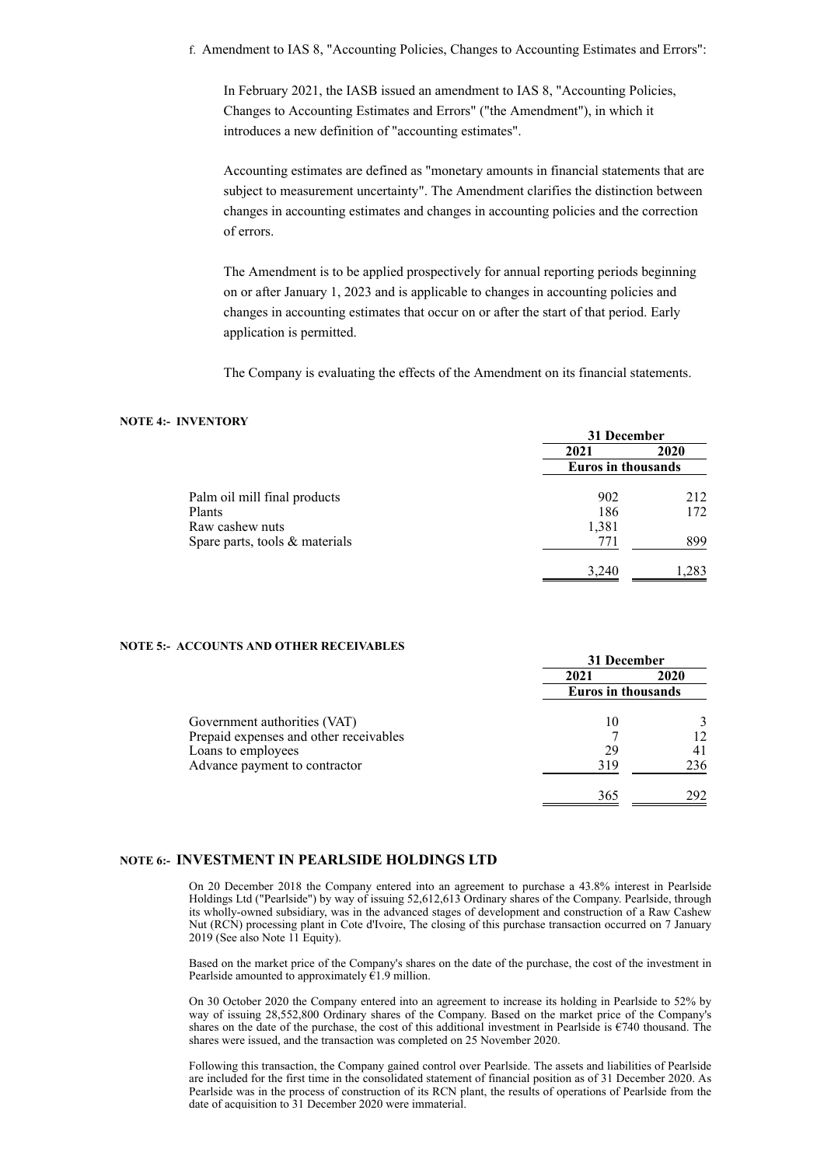In February 2021, the IASB issued an amendment to IAS 8, "Accounting Policies, Changes to Accounting Estimates and Errors" ("the Amendment"), in which it introduces a new definition of "accounting estimates".

Accounting estimates are defined as "monetary amounts in financial statements that are subject to measurement uncertainty". The Amendment clarifies the distinction between changes in accounting estimates and changes in accounting policies and the correction of errors.

The Amendment is to be applied prospectively for annual reporting periods beginning on or after January 1, 2023 and is applicable to changes in accounting policies and changes in accounting estimates that occur on or after the start of that period. Early application is permitted.

The Company is evaluating the effects of the Amendment on its financial statements.

## **NOTE 4:- INVENTORY**

|                                  | 31 December        |       |  |
|----------------------------------|--------------------|-------|--|
|                                  | 2021               | 2020  |  |
|                                  | Euros in thousands |       |  |
| Palm oil mill final products     | 902                | 212   |  |
| Plants                           | 186                | 172   |  |
| Raw cashew nuts                  | 1,381              |       |  |
| Spare parts, tools $&$ materials | 771                | 899   |  |
|                                  | 3,240              | 1,283 |  |

## **NOTE 5:- ACCOUNTS AND OTHER RECEIVABLES**

|                                        | 31 December               |      |
|----------------------------------------|---------------------------|------|
|                                        | 2021                      | 2020 |
|                                        | <b>Euros</b> in thousands |      |
| Government authorities (VAT)           |                           |      |
| Prepaid expenses and other receivables |                           | 12   |
| Loans to employees                     | 29                        | 41   |
| Advance payment to contractor          | 319                       | 236  |
|                                        | 365                       | 292  |

# **NOTE 6:- INVESTMENT IN PEARLSIDE HOLDINGS LTD**

On 20 December 2018 the Company entered into an agreement to purchase a 43.8% interest in Pearlside Holdings Ltd ("Pearlside") by way of issuing 52,612,613 Ordinary shares of the Company. Pearlside, through its wholly-owned subsidiary, was in the advanced stages of development and construction of a Raw Cashew Nut (RCN) processing plant in Cote d'Ivoire, The closing of this purchase transaction occurred on 7 January 2019 (See also Note 11 Equity).

Based on the market price of the Company's shares on the date of the purchase, the cost of the investment in Pearlside amounted to approximately  $\hat{e}$ 1.9 million.

On 30 October 2020 the Company entered into an agreement to increase its holding in Pearlside to 52% by way of issuing 28,552,800 Ordinary shares of the Company. Based on the market price of the Company's shares on the date of the purchase, the cost of this additional investment in Pearlside is €740 thousand. The shares were issued, and the transaction was completed on 25 November 2020.

Following this transaction, the Company gained control over Pearlside. The assets and liabilities of Pearlside are included for the first time in the consolidated statement of financial position as of 31 December 2020. As Pearlside was in the process of construction of its RCN plant, the results of operations of Pearlside from the date of acquisition to 31 December 2020 were immaterial.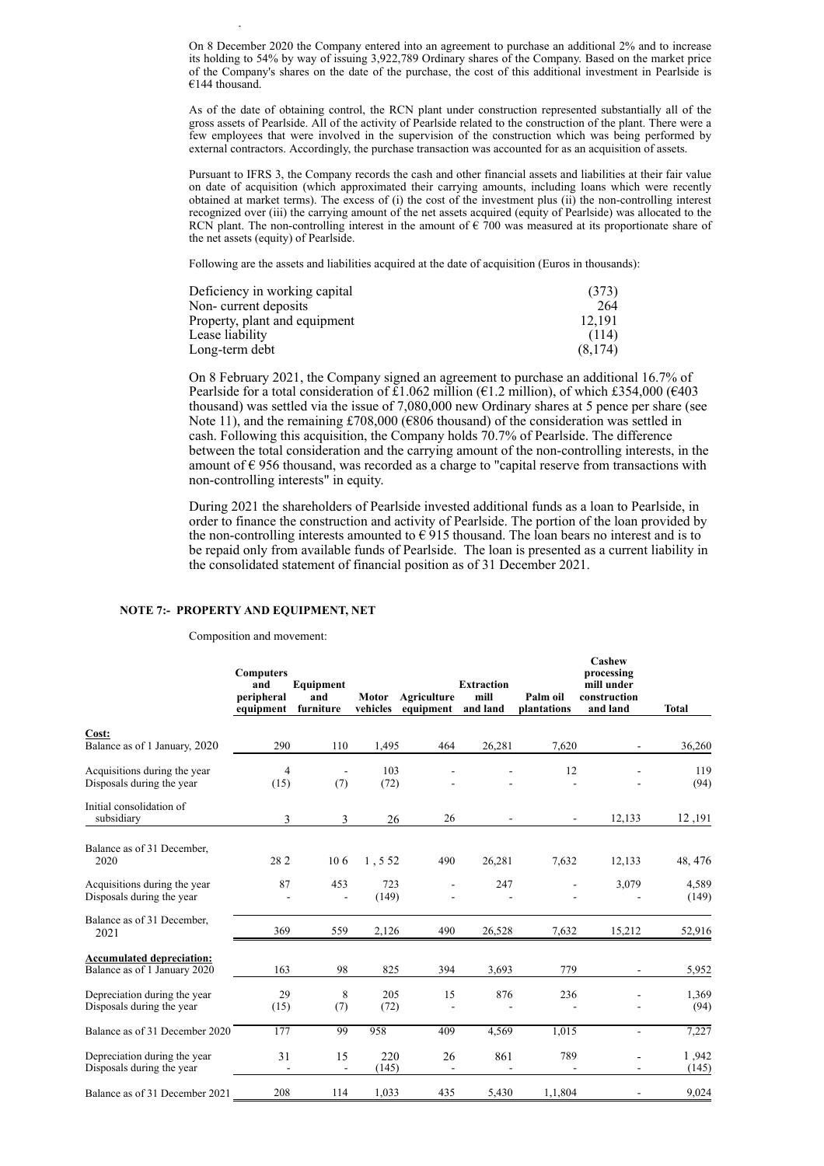On 8 December 2020 the Company entered into an agreement to purchase an additional 2% and to increase its holding to 54% by way of issuing 3,922,789 Ordinary shares of the Company. Based on the market price of the Company's shares on the date of the purchase, the cost of this additional investment in Pearlside is €144 thousand.

date of acquisition to 31 December 2020 were immaterial.

As of the date of obtaining control, the RCN plant under construction represented substantially all of the gross assets of Pearlside. All of the activity of Pearlside related to the construction of the plant. There were a few employees that were involved in the supervision of the construction which was being performed by external contractors. Accordingly, the purchase transaction was accounted for as an acquisition of assets.

Pursuant to IFRS 3, the Company records the cash and other financial assets and liabilities at their fair value on date of acquisition (which approximated their carrying amounts, including loans which were recently obtained at market terms). The excess of (i) the cost of the investment plus (ii) the non-controlling interest recognized over (iii) the carrying amount of the net assets acquired (equity of Pearlside) was allocated to the RCN plant. The non-controlling interest in the amount of  $\epsilon$  700 was measured at its proportionate share of the net assets (equity) of Pearlside.

Following are the assets and liabilities acquired at the date of acquisition (Euros in thousands):

| Deficiency in working capital | (373)   |
|-------------------------------|---------|
| Non-current deposits          | 264     |
| Property, plant and equipment | 12.191  |
| Lease liability               | (114)   |
| Long-term debt                | (8,174) |

On 8 February 2021, the Company signed an agreement to purchase an additional 16.7% of Pearlside for a total consideration of £1.062 million ( $E1.2$  million), of which £354,000 ( $E403$ ) thousand) was settled via the issue of 7,080,000 new Ordinary shares at 5 pence per share (see Note 11), and the remaining £708,000 ( $\epsilon$ 806 thousand) of the consideration was settled in cash. Following this acquisition, the Company holds 70.7% of Pearlside. The difference between the total consideration and the carrying amount of the non-controlling interests, in the amount of  $\epsilon$  956 thousand, was recorded as a charge to "capital reserve from transactions with non-controlling interests" in equity.

During 2021 the shareholders of Pearlside invested additional funds as a loan to Pearlside, in order to finance the construction and activity of Pearlside. The portion of the loan provided by the non-controlling interests amounted to  $\epsilon$  915 thousand. The loan bears no interest and is to be repaid only from available funds of Pearlside. The loan is presented as a current liability in the consolidated statement of financial position as of 31 December 2021.

## **NOTE 7:- PROPERTY AND EQUIPMENT, NET**

Composition and movement:

|                                                           | <b>Computers</b><br>and<br>peripheral<br>equipment | Equipment<br>and<br>furniture | Motor<br>vehicles | Agriculture<br>equipment | <b>Extraction</b><br>mill<br>and land | Palm oil<br>plantations  | Cashew<br>processing<br>mill under<br>construction<br>and land | <b>Total</b>   |
|-----------------------------------------------------------|----------------------------------------------------|-------------------------------|-------------------|--------------------------|---------------------------------------|--------------------------|----------------------------------------------------------------|----------------|
| Cost:                                                     |                                                    |                               |                   |                          |                                       |                          |                                                                |                |
| Balance as of 1 January, 2020                             | 290                                                | 110                           | 1,495             | 464                      | 26,281                                | 7,620                    | $\overline{\phantom{0}}$                                       | 36,260         |
| Acquisitions during the year                              | 4                                                  |                               | 103               |                          |                                       | 12                       |                                                                | 119            |
| Disposals during the year                                 | (15)                                               | (7)                           | (72)              |                          |                                       |                          |                                                                | (94)           |
| Initial consolidation of<br>subsidiary                    | 3                                                  | 3                             | 26                | 26                       |                                       | $\overline{\phantom{a}}$ | 12,133                                                         | 12,191         |
|                                                           |                                                    |                               |                   |                          |                                       |                          |                                                                |                |
| Balance as of 31 December,<br>2020                        | 28 2                                               | 106                           | 1,552             | 490                      | 26,281                                | 7,632                    | 12,133                                                         | 48, 476        |
| Acquisitions during the year<br>Disposals during the year | 87                                                 | 453<br>$\blacksquare$         | 723<br>(149)      |                          | 247                                   |                          | 3,079                                                          | 4,589<br>(149) |
| Balance as of 31 December,<br>2021                        | 369                                                | 559                           | 2,126             | 490                      | 26,528                                | 7,632                    | 15,212                                                         | 52,916         |
| <b>Accumulated depreciation:</b>                          |                                                    |                               |                   |                          |                                       |                          |                                                                |                |
| Balance as of 1 January 2020                              | 163                                                | 98                            | 825               | 394                      | 3,693                                 | 779                      |                                                                | 5,952          |
| Depreciation during the year                              | 29                                                 | 8                             | 205               | 15                       | 876                                   | 236                      |                                                                | 1,369          |
| Disposals during the year                                 | (15)                                               | (7)                           | (72)              |                          |                                       |                          |                                                                | (94)           |
| Balance as of 31 December 2020                            | 177                                                | 99                            | 958               | 409                      | 4,569                                 | 1,015                    | $\overline{\phantom{0}}$                                       | 7,227          |
| Depreciation during the year                              | 31                                                 | 15                            | 220               | 26                       | 861                                   | 789                      |                                                                | 1,942          |
| Disposals during the year                                 | $\blacksquare$                                     | $\blacksquare$                | (145)             | $\blacksquare$           |                                       |                          |                                                                | (145)          |
| Balance as of 31 December 2021                            | 208                                                | 114                           | 1,033             | 435                      | 5,430                                 | 1,1,804                  |                                                                | 9,024          |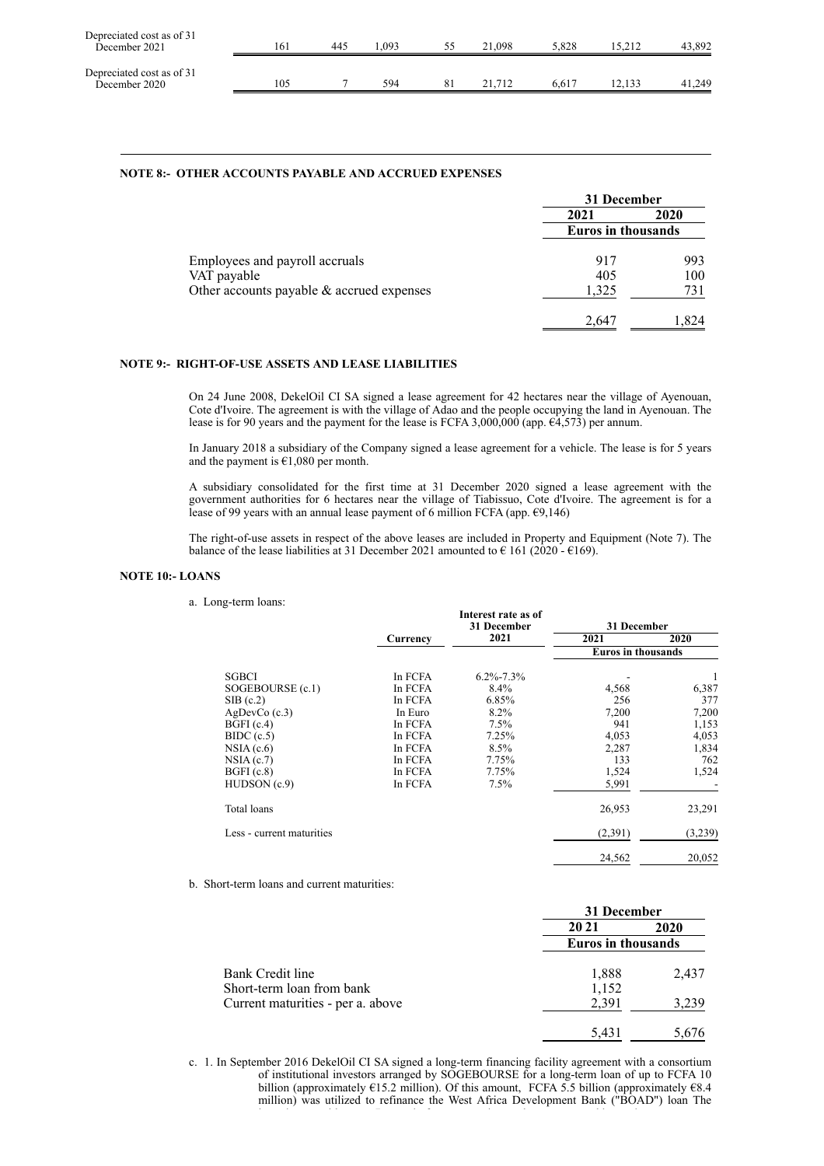| Depreciated cost as of 31<br>December 2021 | 16  | 445 | .093 | .098 | $-828$ | 43.892 |
|--------------------------------------------|-----|-----|------|------|--------|--------|
| Depreciated cost as of 31<br>December 2020 | 105 |     | 594  |      | 6.61   | 41.249 |

### **NOTE 8:- OTHER ACCOUNTS PAYABLE AND ACCRUED EXPENSES**

|                                              | 31 December        |      |  |
|----------------------------------------------|--------------------|------|--|
|                                              | 2021               | 2020 |  |
|                                              | Euros in thousands |      |  |
| Employees and payroll accruals               | 917                | 993  |  |
| VAT payable                                  | 405                | 100  |  |
| Other accounts payable $\&$ accrued expenses | 1,325              | 731  |  |
|                                              | 2.647              | .824 |  |

## **NOTE 9:- RIGHT-OF-USE ASSETS AND LEASE LIABILITIES**

On 24 June 2008, DekelOil CI SA signed a lease agreement for 42 hectares near the village of Ayenouan, Cote d'Ivoire. The agreement is with the village of Adao and the people occupying the land in Ayenouan. The lease is for 90 years and the payment for the lease is FCFA 3,000,000 (app. €4,573) per annum.

In January 2018 a subsidiary of the Company signed a lease agreement for a vehicle. The lease is for 5 years and the payment is  $€1,080$  per month.

A subsidiary consolidated for the first time at 31 December 2020 signed a lease agreement with the government authorities for 6 hectares near the village of Tiabissuo, Cote d'Ivoire. The agreement is for a lease of 99 years with an annual lease payment of 6 million FCFA (app.  $69,146$ )

The right-of-use assets in respect of the above leases are included in Property and Equipment (Note 7). The balance of the lease liabilities at 31 December 2021 amounted to  $\epsilon$  161 (2020 -  $\epsilon$ 169).

### **NOTE 10:- LOANS**

a. Long-term loans:

|                           |          | Interest rate as of |                    |         |
|---------------------------|----------|---------------------|--------------------|---------|
|                           |          | 31 December         | 31 December        |         |
|                           | Currency | 2021                | 2021               | 2020    |
|                           |          |                     | Euros in thousands |         |
| <b>SGBCI</b>              | In FCFA  | $6.2\% - 7.3\%$     |                    |         |
| SOGEBOURSE (c.1)          | In FCFA  | $8.4\%$             | 4,568              | 6,387   |
| $SIB$ (c.2)               | In FCFA  | 6.85%               | 256                | 377     |
| $AgDevCo$ (c.3)           | In Euro  | $8.2\%$             | 7,200              | 7,200   |
| BGFI (c.4)                | In FCFA  | 7.5%                | 941                | 1,153   |
| $BIDC$ (c.5)              | In FCFA  | 7.25%               | 4,053              | 4,053   |
| $NSIA$ (c.6)              | In FCFA  | 8.5%                | 2,287              | 1,834   |
| NSIA(c.7)                 | In FCFA  | 7.75%               | 133                | 762     |
| BGFI (c.8)                | In FCFA  | 7.75%               | 1,524              | 1,524   |
| $HUDSON$ (c.9)            | In FCFA  | 7.5%                | 5,991              |         |
| Total loans               |          |                     | 26,953             | 23,291  |
| Less - current maturities |          |                     | (2,391)            | (3,239) |
|                           |          |                     | 24,562             | 20,052  |

#### b. Short-term loans and current maturities:

|                                   | 31 December        |       |  |
|-----------------------------------|--------------------|-------|--|
|                                   | 20 21              | 2020  |  |
|                                   | Euros in thousands |       |  |
| Bank Credit line                  | 1,888              | 2,437 |  |
| Short-term loan from bank         | 1,152              |       |  |
| Current maturities - per a. above | 2,391              | 3,239 |  |
|                                   | 5.431              | 5,676 |  |

c. 1. In September 2016 DekelOil CI SA signed a long-term financing facility agreement with a consortium of institutional investors arranged by SOGEBOURSE for a long-term loan of up to FCFA 10 billion (approximately  $E15.2$  million). Of this amount, FCFA 5.5 billion (approximately  $E8.4$ million) was utilized to refinance the West Africa Development Bank ("BOAD") loan The loan is repayable over 7 years in fourteen semi annual payments. and bears interest at a rate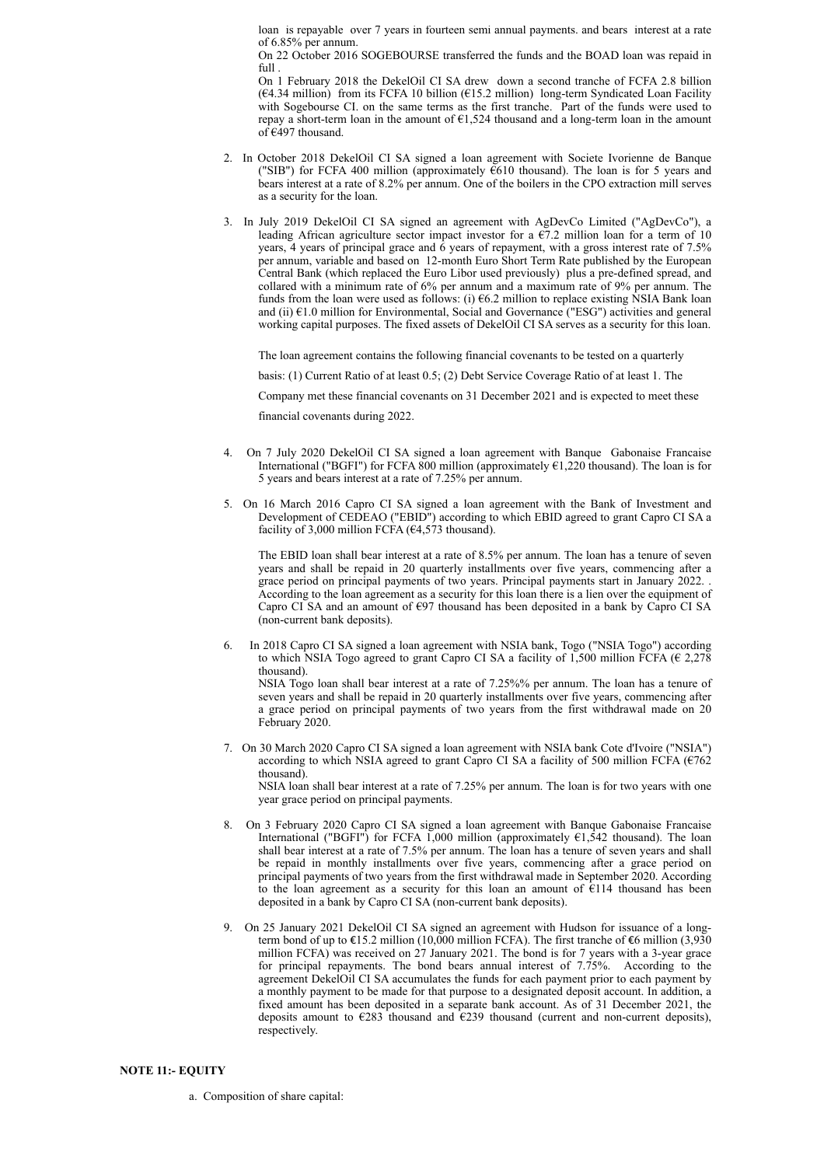loan is repayable over 7 years in fourteen semi annual payments. and bears interest at a rate of 6.85% per annum.

On 22 October 2016 SOGEBOURSE transferred the funds and the BOAD loan was repaid in full .

On 1 February 2018 the DekelOil CI SA drew down a second tranche of FCFA 2.8 billion  $(64.34 \text{ million})$  from its FCFA 10 billion  $(615.2 \text{ million})$  long-term Syndicated Loan Facility with Sogebourse CI. on the same terms as the first tranche. Part of the funds were used to repay a short-term loan in the amount of  $E1,524$  thousand and a long-term loan in the amount of  $\epsilon$ 497 thousand.

- 2. In October 2018 DekelOil CI SA signed a loan agreement with Societe Ivorienne de Banque ("SIB") for FCFA 400 million (approximately €610 thousand). The loan is for 5 years and bears interest at a rate of 8.2% per annum. One of the boilers in the CPO extraction mill serves as a security for the loan.
- 3. In July 2019 DekelOil CI SA signed an agreement with AgDevCo Limited ("AgDevCo"), a leading African agriculture sector impact investor for a  $E7.2$  million loan for a term of 10 years, 4 years of principal grace and 6 years of repayment, with a gross interest rate of 7.5% per annum, variable and based on 12-month Euro Short Term Rate published by the European Central Bank (which replaced the Euro Libor used previously) plus a pre-defined spread, and collared with a minimum rate of 6% per annum and a maximum rate of 9% per annum. The funds from the loan were used as follows: (i)  $66.2$  million to replace existing NSIA Bank loan and (ii)  $61.0$  million for Environmental, Social and Governance ("ESG") activities and general working capital purposes. The fixed assets of DekelOil CI SA serves as a security for this loan.

The loan agreement contains the following financial covenants to be tested on a quarterly

basis: (1) Current Ratio of at least 0.5; (2) Debt Service Coverage Ratio of at least 1. The

Company met these financial covenants on 31 December 2021 and is expected to meet these

financial covenants during 2022.

- 4. On 7 July 2020 DekelOil CI SA signed a loan agreement with Banque Gabonaise Francaise International ("BGFI") for FCFA 800 million (approximately  $61,220$  thousand). The loan is for 5 years and bears interest at a rate of 7.25% per annum.
- 5. On 16 March 2016 Capro CI SA signed a loan agreement with the Bank of Investment and Development of CEDEAO ("EBID") according to which EBID agreed to grant Capro CI SA a facility of 3,000 million FCFA ( $64,573$  thousand).

The EBID loan shall bear interest at a rate of 8.5% per annum. The loan has a tenure of seven years and shall be repaid in 20 quarterly installments over five years, commencing after a grace period on principal payments of two years. Principal payments start in January 2022. . According to the loan agreement as a security for this loan there is a lien over the equipment of Capro CI SA and an amount of  $E97$  thousand has been deposited in a bank by Capro CI SA (non-current bank deposits).

6. In 2018 Capro CI SA signed a loan agreement with NSIA bank, Togo ("NSIA Togo") according to which NSIA Togo agreed to grant Capro CI SA a facility of  $1,500$  million FCFA ( $\epsilon$  2,278 thousand).

NSIA Togo loan shall bear interest at a rate of 7.25%% per annum. The loan has a tenure of seven years and shall be repaid in 20 quarterly installments over five years, commencing after a grace period on principal payments of two years from the first withdrawal made on 20 February 2020.

7. On 30 March 2020 Capro CI SA signed a loan agreement with NSIA bank Cote d'Ivoire ("NSIA") according to which NSIA agreed to grant Capro CI SA a facility of 500 million FCFA (€762 thousand). NSIA loan shall bear interest at a rate of 7.25% per annum. The loan is for two years with one

year grace period on principal payments.

- 8. On 3 February 2020 Capro CI SA signed a loan agreement with Banque Gabonaise Francaise International ("BGFI") for FCFA 1,000 million (approximately €1,542 thousand). The loan shall bear interest at a rate of 7.5% per annum. The loan has a tenure of seven years and shall be repaid in monthly installments over five years, commencing after a grace period on principal payments of two years from the first withdrawal made in September 2020. According to the loan agreement as a security for this loan an amount of  $E114$  thousand has been deposited in a bank by Capro CI SA (non-current bank deposits).
- 9. On 25 January 2021 DekelOil CI SA signed an agreement with Hudson for issuance of a longterm bond of up to  $\text{\textsterling}15.2$  million (10,000 million FCFA). The first tranche of  $\text{\textsterling}6$  million (3,930 million FCFA) was received on 27 January 2021. The bond is for 7 years with a 3-year grace for principal repayments. The bond bears annual interest of 7.75%. According to the agreement DekelOil CI SA accumulates the funds for each payment prior to each payment by a monthly payment to be made for that purpose to a designated deposit account. In addition, a fixed amount has been deposited in a separate bank account. As of 31 December 2021, the deposits amount to  $E283$  thousand and  $E239$  thousand (current and non-current deposits), respectively.

### **NOTE 11:- EQUITY**

a. Composition of share capital: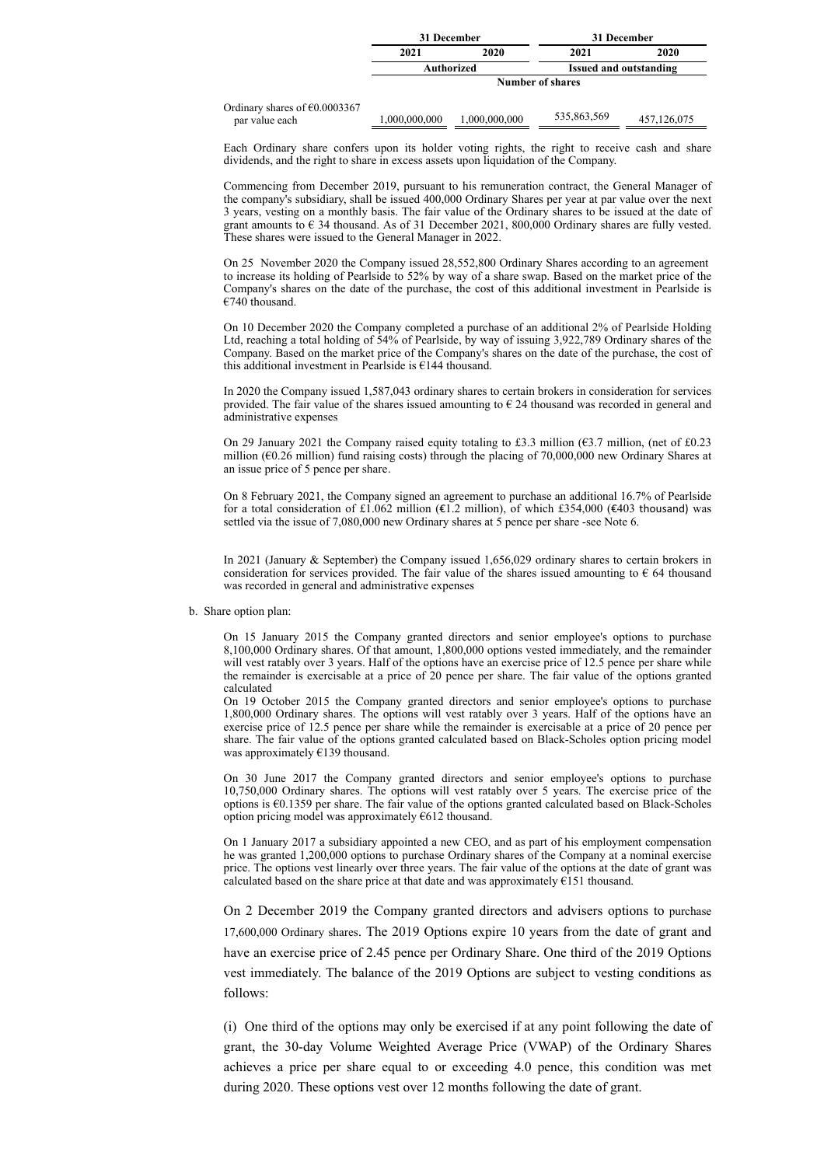|                                                           | 31 December                       |               | 31 December      |                               |  |
|-----------------------------------------------------------|-----------------------------------|---------------|------------------|-------------------------------|--|
|                                                           | 2020<br>2021<br><b>Authorized</b> |               | 2021             | 2020                          |  |
|                                                           |                                   |               |                  | <b>Issued and outstanding</b> |  |
|                                                           |                                   |               | Number of shares |                               |  |
| Ordinary shares of $\epsilon$ 0.0003367<br>par value each | 1,000,000,000                     | 1,000,000,000 | 535,863,569      | 457,126,075                   |  |

Each Ordinary share confers upon its holder voting rights, the right to receive cash and share dividends, and the right to share in excess assets upon liquidation of the Company.

Commencing from December 2019, pursuant to his remuneration contract, the General Manager of the company's subsidiary, shall be issued 400,000 Ordinary Shares per year at par value over the next 3 years, vesting on a monthly basis. The fair value of the Ordinary shares to be issued at the date of grant amounts to  $\epsilon$  34 thousand. As of 31 December 2021, 800,000 Ordinary shares are fully vested. These shares were issued to the General Manager in 2022.

On 25 November 2020 the Company issued 28,552,800 Ordinary Shares according to an agreement to increase its holding of Pearlside to 52% by way of a share swap. Based on the market price of the Company's shares on the date of the purchase, the cost of this additional investment in Pearlside is €740 thousand.

On 10 December 2020 the Company completed a purchase of an additional 2% of Pearlside Holding Ltd, reaching a total holding of 54% of Pearlside, by way of issuing 3,922,789 Ordinary shares of the Company. Based on the market price of the Company's shares on the date of the purchase, the cost of this additional investment in Pearlside is €144 thousand.

In 2020 the Company issued 1,587,043 ordinary shares to certain brokers in consideration for services provided. The fair value of the shares issued amounting to  $\epsilon$  24 thousand was recorded in general and administrative expenses

On 29 January 2021 the Company raised equity totaling to £3.3 million (€3.7 million, (net of £0.23 million (€0.26 million) fund raising costs) through the placing of 70,000,000 new Ordinary Shares at an issue price of 5 pence per share.

On 8 February 2021, the Company signed an agreement to purchase an additional 16.7% of Pearlside for a total consideration of £1.062 million (€1.2 million), of which £354,000 (€403 thousand) was settled via the issue of 7,080,000 new Ordinary shares at  $5$  pence per share -see Note 6.

In 2021 (January & September) the Company issued 1,656,029 ordinary shares to certain brokers in consideration for services provided. The fair value of the shares issued amounting to  $\epsilon$  64 thousand was recorded in general and administrative expenses

### b. Share option plan:

On 15 January 2015 the Company granted directors and senior employee's options to purchase 8,100,000 Ordinary shares. Of that amount, 1,800,000 options vested immediately, and the remainder will vest ratably over 3 years. Half of the options have an exercise price of 12.5 pence per share while the remainder is exercisable at a price of 20 pence per share. The fair value of the options granted calculated

On 19 October 2015 the Company granted directors and senior employee's options to purchase 1,800,000 Ordinary shares. The options will vest ratably over 3 years. Half of the options have an exercise price of 12.5 pence per share while the remainder is exercisable at a price of 20 pence per share. The fair value of the options granted calculated based on Black-Scholes option pricing model was approximately €139 thousand.

On 30 June 2017 the Company granted directors and senior employee's options to purchase 10,750,000 Ordinary shares. The options will vest ratably over 5 years. The exercise price of the options is €0.1359 per share. The fair value of the options granted calculated based on Black-Scholes option pricing model was approximately €612 thousand.

On 1 January 2017 a subsidiary appointed a new CEO, and as part of his employment compensation he was granted 1,200,000 options to purchase Ordinary shares of the Company at a nominal exercise price. The options vest linearly over three years. The fair value of the options at the date of grant was calculated based on the share price at that date and was approximately  $E151$  thousand.

On 2 December 2019 the Company granted directors and advisers options to purchase 17,600,000 Ordinary shares. The 2019 Options expire 10 years from the date of grant and have an exercise price of 2.45 pence per Ordinary Share. One third of the 2019 Options vest immediately. The balance of the 2019 Options are subject to vesting conditions as follows:

(i) One third of the options may only be exercised if at any point following the date of grant, the 30-day Volume Weighted Average Price (VWAP) of the Ordinary Shares achieves a price per share equal to or exceeding 4.0 pence, this condition was met during 2020. These options vest over 12 months following the date of grant.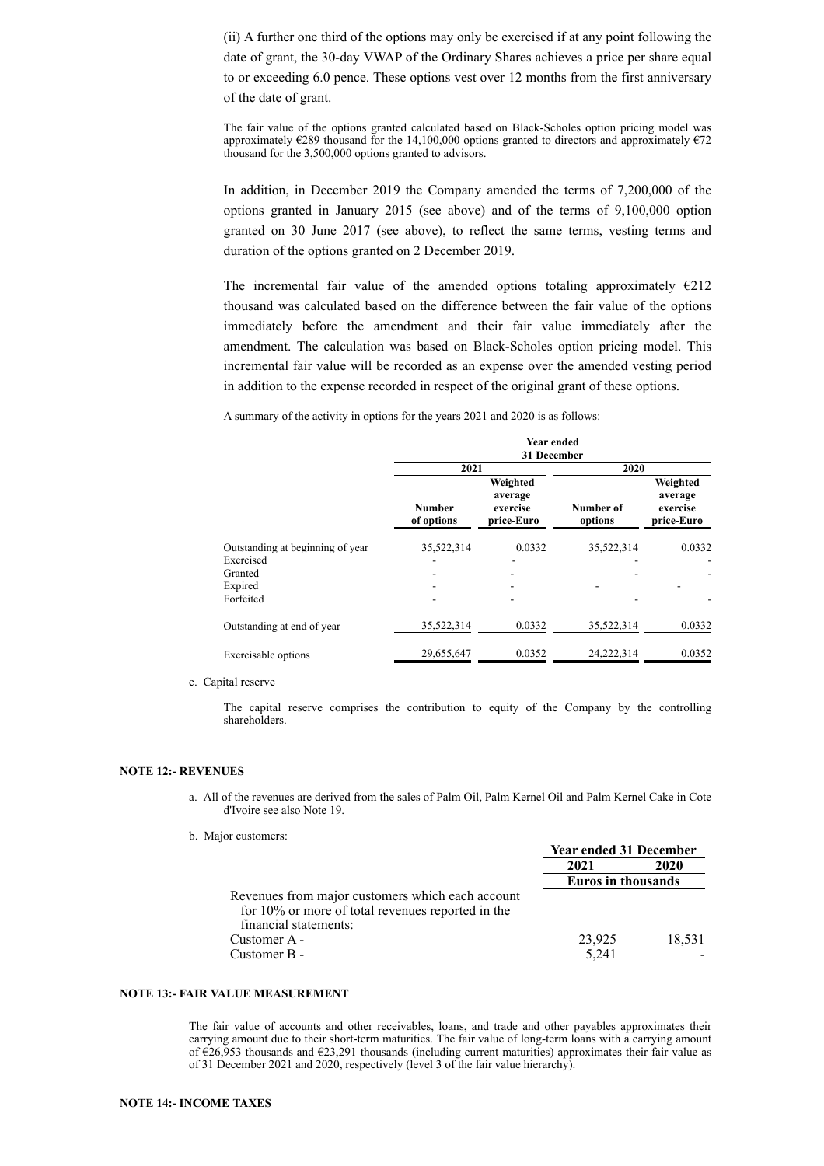(ii) A further one third of the options may only be exercised if at any point following the date of grant, the 30-day VWAP of the Ordinary Shares achieves a price per share equal to or exceeding 6.0 pence. These options vest over 12 months from the first anniversary of the date of grant.

The fair value of the options granted calculated based on Black-Scholes option pricing model was approximately €289 thousand for the 14,100,000 options granted to directors and approximately €72 thousand for the 3,500,000 options granted to advisors.

In addition, in December 2019 the Company amended the terms of 7,200,000 of the options granted in January 2015 (see above) and of the terms of 9,100,000 option granted on 30 June 2017 (see above), to reflect the same terms, vesting terms and duration of the options granted on 2 December 2019.

The incremental fair value of the amended options totaling approximately  $E212$ thousand was calculated based on the difference between the fair value of the options immediately before the amendment and their fair value immediately after the amendment. The calculation was based on Black-Scholes option pricing model. This incremental fair value will be recorded as an expense over the amended vesting period in addition to the expense recorded in respect of the original grant of these options.

A summary of the activity in options for the years 2021 and 2020 is as follows:

|                                  | <b>Year ended</b><br>31 December |                                               |                      |                                               |  |  |  |
|----------------------------------|----------------------------------|-----------------------------------------------|----------------------|-----------------------------------------------|--|--|--|
|                                  | 2021                             |                                               |                      | 2020                                          |  |  |  |
|                                  | <b>Number</b><br>of options      | Weighted<br>average<br>exercise<br>price-Euro | Number of<br>options | Weighted<br>average<br>exercise<br>price-Euro |  |  |  |
| Outstanding at beginning of year | 35,522,314                       | 0.0332                                        | 35,522,314           | 0.0332                                        |  |  |  |
| Exercised                        |                                  |                                               |                      |                                               |  |  |  |
| Granted                          |                                  |                                               |                      |                                               |  |  |  |
| Expired                          |                                  |                                               |                      |                                               |  |  |  |
| Forfeited                        |                                  |                                               |                      |                                               |  |  |  |
| Outstanding at end of year       | 35,522,314                       | 0.0332                                        | 35,522,314           | 0.0332                                        |  |  |  |
| Exercisable options              | 29,655,647                       | 0.0352                                        | 24,222,314           | 0.0352                                        |  |  |  |
|                                  |                                  |                                               |                      |                                               |  |  |  |

c. Capital reserve

The capital reserve comprises the contribution to equity of the Company by the controlling shareholders.

### **NOTE 12:- REVENUES**

- a. All of the revenues are derived from the sales of Palm Oil, Palm Kernel Oil and Palm Kernel Cake in Cote d'Ivoire see also Note 19.
- b. Major customers:

|                                                                                                                                | <b>Year ended 31 December</b> |        |  |
|--------------------------------------------------------------------------------------------------------------------------------|-------------------------------|--------|--|
|                                                                                                                                | 2021                          | 2020   |  |
|                                                                                                                                | Euros in thousands            |        |  |
| Revenues from major customers which each account<br>for 10% or more of total revenues reported in the<br>financial statements: |                               |        |  |
| Customer A -<br>Customer B -                                                                                                   | 23,925<br>5,241               | 18,531 |  |
|                                                                                                                                |                               |        |  |

### **NOTE 13:- FAIR VALUE MEASUREMENT**

The fair value of accounts and other receivables, loans, and trade and other payables approximates their carrying amount due to their short-term maturities. The fair value of long-term loans with a carrying amount of €26,953 thousands and €23,291 thousands (including current maturities) approximates their fair value as of 31 December 2021 and 2020, respectively (level 3 of the fair value hierarchy).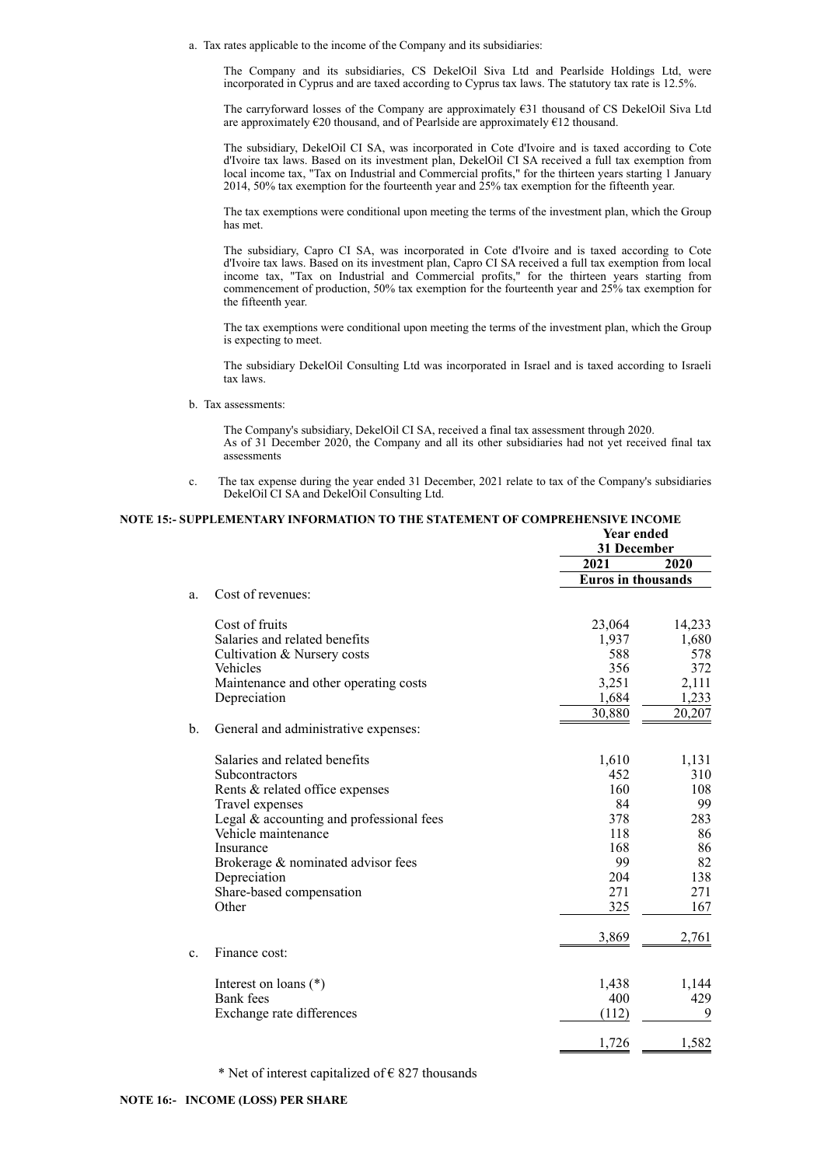a. Tax rates applicable to the income of the Company and its subsidiaries:

The Company and its subsidiaries, CS DekelOil Siva Ltd and Pearlside Holdings Ltd, were incorporated in Cyprus and are taxed according to Cyprus tax laws. The statutory tax rate is 12.5%.

The carryforward losses of the Company are approximately €31 thousand of CS DekelOil Siva Ltd are approximately €20 thousand, and of Pearlside are approximately €12 thousand.

The subsidiary, DekelOil CI SA, was incorporated in Cote d'Ivoire and is taxed according to Cote d'Ivoire tax laws. Based on its investment plan, DekelOil CI SA received a full tax exemption from local income tax, "Tax on Industrial and Commercial profits," for the thirteen years starting 1 January 2014, 50% tax exemption for the fourteenth year and 25% tax exemption for the fifteenth year.

The tax exemptions were conditional upon meeting the terms of the investment plan, which the Group has met.

The subsidiary, Capro CI SA, was incorporated in Cote d'Ivoire and is taxed according to Cote d'Ivoire tax laws. Based on its investment plan, Capro CI SA received a full tax exemption from local income tax, "Tax on Industrial and Commercial profits," for the thirteen years starting from commencement of production, 50% tax exemption for the fourteenth year and 25% tax exemption for the fifteenth year.

The tax exemptions were conditional upon meeting the terms of the investment plan, which the Group is expecting to meet.

The subsidiary DekelOil Consulting Ltd was incorporated in Israel and is taxed according to Israeli tax laws.

b. Tax assessments:

The Company's subsidiary, DekelOil CI SA, received a final tax assessment through 2020. As of 31 December 2020, the Company and all its other subsidiaries had not yet received final tax assessments

c. The tax expense during the year ended 31 December, 2021 relate to tax of the Company's subsidiaries DekelOil CI SA and DekelOil Consulting Ltd.

|    | OTE 15:- SUPPLEMENTARY INFORMATION TO THE STATEMENT OF COMPREHENSIVE INCOME | <b>Year ended</b><br>31 December |        |
|----|-----------------------------------------------------------------------------|----------------------------------|--------|
|    |                                                                             | 2021                             | 2020   |
|    |                                                                             | <b>Euros</b> in thousands        |        |
| a. | Cost of revenues:                                                           |                                  |        |
|    | Cost of fruits                                                              | 23,064                           | 14,233 |
|    | Salaries and related benefits                                               | 1,937                            | 1,680  |
|    | Cultivation & Nursery costs                                                 | 588                              | 578    |
|    | Vehicles                                                                    | 356                              | 372    |
|    | Maintenance and other operating costs                                       | 3,251                            | 2,111  |
|    | Depreciation                                                                | 1,684                            | 1,233  |
|    |                                                                             | 30,880                           | 20,207 |
| b. | General and administrative expenses:                                        |                                  |        |
|    | Salaries and related benefits                                               | 1,610                            | 1,131  |
|    | Subcontractors                                                              | 452                              | 310    |
|    | Rents & related office expenses                                             | 160                              | 108    |
|    | Travel expenses                                                             | 84                               | 99     |
|    | Legal $&$ accounting and professional fees                                  | 378                              | 283    |
|    | Vehicle maintenance                                                         | 118                              | 86     |
|    | Insurance                                                                   | 168                              | 86     |
|    | Brokerage & nominated advisor fees                                          | 99                               | 82     |
|    | Depreciation                                                                | 204                              | 138    |
|    | Share-based compensation                                                    | 271                              | 271    |
|    | Other                                                                       | 325                              | 167    |
|    |                                                                             | 3,869                            | 2,761  |
| c. | Finance cost:                                                               |                                  |        |
|    | Interest on loans $(*)$                                                     | 1,438                            | 1,144  |
|    | Bank fees                                                                   | 400                              | 429    |
|    | Exchange rate differences                                                   | (112)                            | 9      |
|    |                                                                             | 1,726                            | 1,582  |
|    |                                                                             |                                  |        |

\* Net of interest capitalized of  $\epsilon$  827 thousands

# **NOTE 15:- SUPPLEMENTARY INFORMATION TO THE STATEMENT OF COMPREHENSIVE INCOME**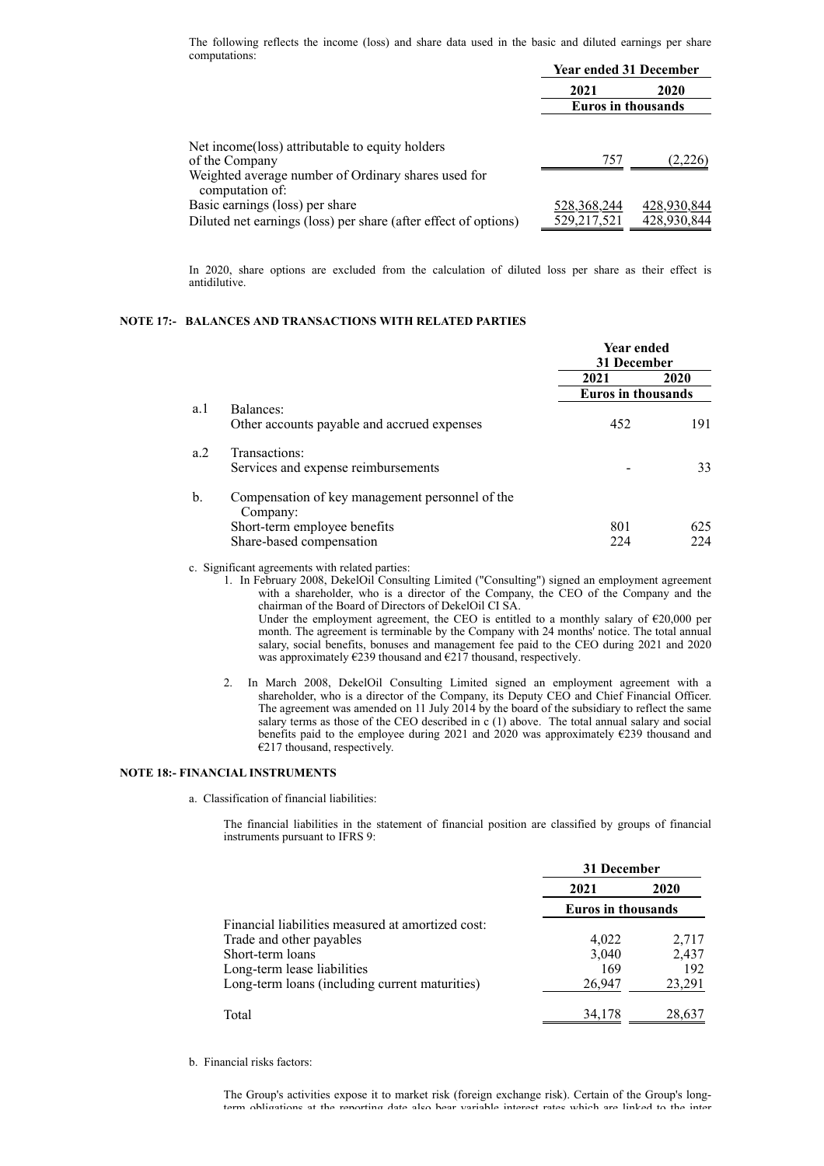The following reflects the income (loss) and share data used in the basic and diluted earnings per share computations:

|                                                                        | <b>Year ended 31 December</b> |             |  |
|------------------------------------------------------------------------|-------------------------------|-------------|--|
|                                                                        | 2021                          | 2020        |  |
|                                                                        | Euros in thousands            |             |  |
| Net income (loss) attributable to equity holders<br>of the Company     | 757                           | 2,226       |  |
| Weighted average number of Ordinary shares used for<br>computation of: |                               |             |  |
| Basic earnings (loss) per share                                        | 528,368,244                   | 428,930,844 |  |
| Diluted net earnings (loss) per share (after effect of options)        | 529,217,521                   | 428,930,844 |  |

In 2020, share options are excluded from the calculation of diluted loss per share as their effect is antidilutive.

## **NOTE 17:- BALANCES AND TRANSACTIONS WITH RELATED PARTIES**

|      |                                                             | <b>Year ended</b><br>31 December |      |
|------|-------------------------------------------------------------|----------------------------------|------|
|      |                                                             | 2021                             | 2020 |
|      |                                                             | Euros in thousands               |      |
| a. 1 | Balances:                                                   |                                  |      |
|      | Other accounts payable and accrued expenses                 | 452                              | 191  |
| a.2  | Transactions:                                               |                                  |      |
|      | Services and expense reimbursements                         |                                  | 33   |
| b.   | Compensation of key management personnel of the<br>Company: |                                  |      |
|      | Short-term employee benefits                                | 801                              | 625  |
|      | Share-based compensation                                    | 224                              | 224  |

c. Significant agreements with related parties:

- 1. In February 2008, DekelOil Consulting Limited ("Consulting") signed an employment agreement with a shareholder, who is a director of the Company, the CEO of the Company and the chairman of the Board of Directors of DekelOil CI SA.
	- Under the employment agreement, the CEO is entitled to a monthly salary of  $E20,000$  per month. The agreement is terminable by the Company with 24 months' notice. The total annual salary, social benefits, bonuses and management fee paid to the CEO during 2021 and 2020 was approximately  $\epsilon$ 239 thousand and  $\epsilon$ 217 thousand, respectively.
- 2. In March 2008, DekelOil Consulting Limited signed an employment agreement with a shareholder, who is a director of the Company, its Deputy CEO and Chief Financial Officer. The agreement was amended on 11 July 2014 by the board of the subsidiary to reflect the same salary terms as those of the CEO described in c (1) above. The total annual salary and social benefits paid to the employee during 2021 and 2020 was approximately  $\epsilon$ 239 thousand and €217 thousand, respectively.

### **NOTE 18:- FINANCIAL INSTRUMENTS**

a. Classification of financial liabilities:

The financial liabilities in the statement of financial position are classified by groups of financial instruments pursuant to IFRS 9:

|                                                   |                    | 31 December |  |  |
|---------------------------------------------------|--------------------|-------------|--|--|
|                                                   | 2021               | 2020        |  |  |
|                                                   | Euros in thousands |             |  |  |
| Financial liabilities measured at amortized cost: |                    |             |  |  |
| Trade and other payables                          | 4,022              | 2,717       |  |  |
| Short-term loans                                  | 3,040              | 2,437       |  |  |
| Long-term lease liabilities                       | 169                | 192         |  |  |
| Long-term loans (including current maturities)    | 26,947             | 23,291      |  |  |
| Total                                             | 34,178             | 28,637      |  |  |

b. Financial risks factors: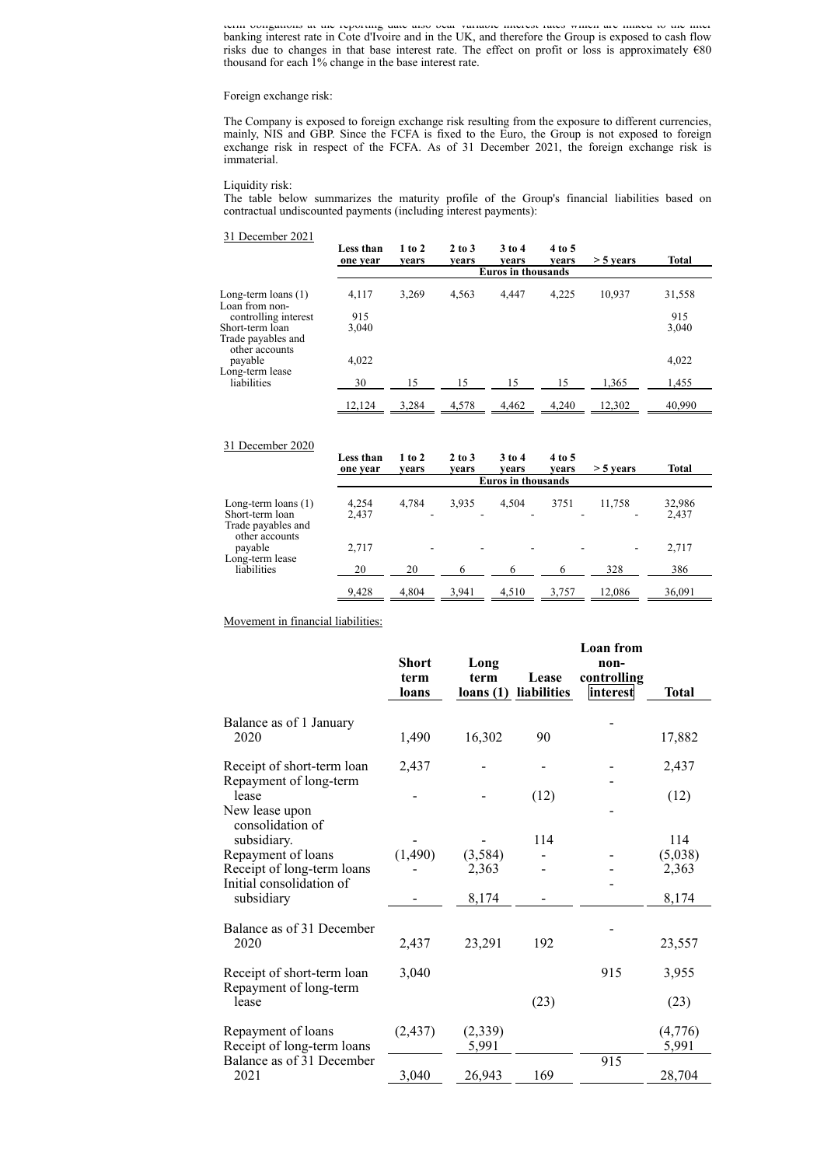term obligations at the reporting date also bear variable interest rates which are linked to the inter banking interest rate in Cote d'Ivoire and in the UK, and therefore the Group is exposed to cash flow risks due to changes in that base interest rate. The effect on profit or loss is approximately  $680$ thousand for each 1% change in the base interest rate.

#### Foreign exchange risk:

The Company is exposed to foreign exchange risk resulting from the exposure to different currencies, mainly, NIS and GBP. Since the FCFA is fixed to the Euro, the Group is not exposed to foreign exchange risk in respect of the FCFA. As of 31 December 2021, the foreign exchange risk is immaterial.

#### Liquidity risk:

The table below summarizes the maturity profile of the Group's financial liabilities based on contractual undiscounted payments (including interest payments):

31 December 2021

| $21$ December 2021                                            | Less than<br>one year | 1 to 2<br>vears | $2$ to $3$<br>vears | 3 to 4<br>vears<br><b>Euros in thousands</b> | 4 to 5<br>vears | $>$ 5 years | <b>Total</b> |
|---------------------------------------------------------------|-----------------------|-----------------|---------------------|----------------------------------------------|-----------------|-------------|--------------|
| Long-term loans (1)<br>Loan from non-                         | 4,117                 | 3,269           | 4,563               | 4.447                                        | 4,225           | 10,937      | 31,558       |
| controlling interest<br>Short-term loan<br>Trade payables and | 915<br>3,040          |                 |                     |                                              |                 |             | 915<br>3,040 |
| other accounts<br>payable<br>Long-term lease                  | 4,022                 |                 |                     |                                              |                 |             | 4,022        |
| liabilities                                                   | 30                    | 15              | 15                  | 15                                           | 15              | 1,365       | 1,455        |
|                                                               | 12,124                | 3,284           | 4,578               | 4,462                                        | 4.240           | 12,302      | 40,990       |

| 31 December 2020                                               |                       |                 |                     |                           |                 |             |                 |
|----------------------------------------------------------------|-----------------------|-----------------|---------------------|---------------------------|-----------------|-------------|-----------------|
|                                                                | Less than<br>one year | 1 to 2<br>vears | $2$ to $3$<br>vears | 3 to 4<br>vears           | 4 to 5<br>vears | $> 5$ years | Total           |
|                                                                |                       |                 |                     | <b>Euros in thousands</b> |                 |             |                 |
| Long-term loans $(1)$<br>Short-term loan<br>Trade payables and | 4,254<br>2,437        | 4,784           | 3,935               | 4.504                     | 3751            | 11,758      | 32,986<br>2,437 |
| other accounts<br>payable<br>Long-term lease                   | 2,717                 |                 |                     |                           |                 |             | 2,717           |
| liabilities                                                    | 20                    | 20              | 6                   | 6                         | 6               | 328         | 386             |
|                                                                | 9,428                 | 4,804           | 3,941               | 4,510                     | 3,757           | 12,086      | 36,091          |

Movement in financial liabilities:

|                                                  |               |                  |                      | <b>Loan</b> from        |                  |
|--------------------------------------------------|---------------|------------------|----------------------|-------------------------|------------------|
|                                                  | <b>Short</b>  | Long             |                      | non-                    |                  |
|                                                  | term<br>loans | term<br>loans(1) | Lease<br>liabilities | controlling<br>interest | <b>Total</b>     |
| Balance as of 1 January                          |               |                  |                      |                         |                  |
| 2020                                             | 1,490         | 16,302           | 90                   |                         | 17,882           |
| Receipt of short-term loan                       | 2,437         |                  |                      |                         | 2,437            |
| Repayment of long-term<br>lease                  |               |                  | (12)                 |                         | (12)             |
| New lease upon<br>consolidation of               |               |                  |                      |                         |                  |
| subsidiary.                                      |               |                  | 114                  |                         | 114              |
| Repayment of loans<br>Receipt of long-term loans | (1,490)       | (3,584)<br>2,363 |                      |                         | (5,038)<br>2,363 |
| Initial consolidation of                         |               |                  |                      |                         |                  |
| subsidiary                                       |               | 8,174            |                      |                         | 8,174            |
| Balance as of 31 December                        |               |                  |                      |                         |                  |
| 2020                                             | 2,437         | 23,291           | 192                  |                         | 23,557           |
| Receipt of short-term loan                       | 3,040         |                  |                      | 915                     | 3,955            |
| Repayment of long-term<br>lease                  |               |                  | (23)                 |                         | (23)             |
| Repayment of loans                               | (2, 437)      | (2,339)          |                      |                         | (4,776)          |
| Receipt of long-term loans                       |               | 5,991            |                      |                         | 5,991            |
| Balance as of 31 December<br>2021                | 3,040         | 26,943           | 169                  | 915                     | 28,704           |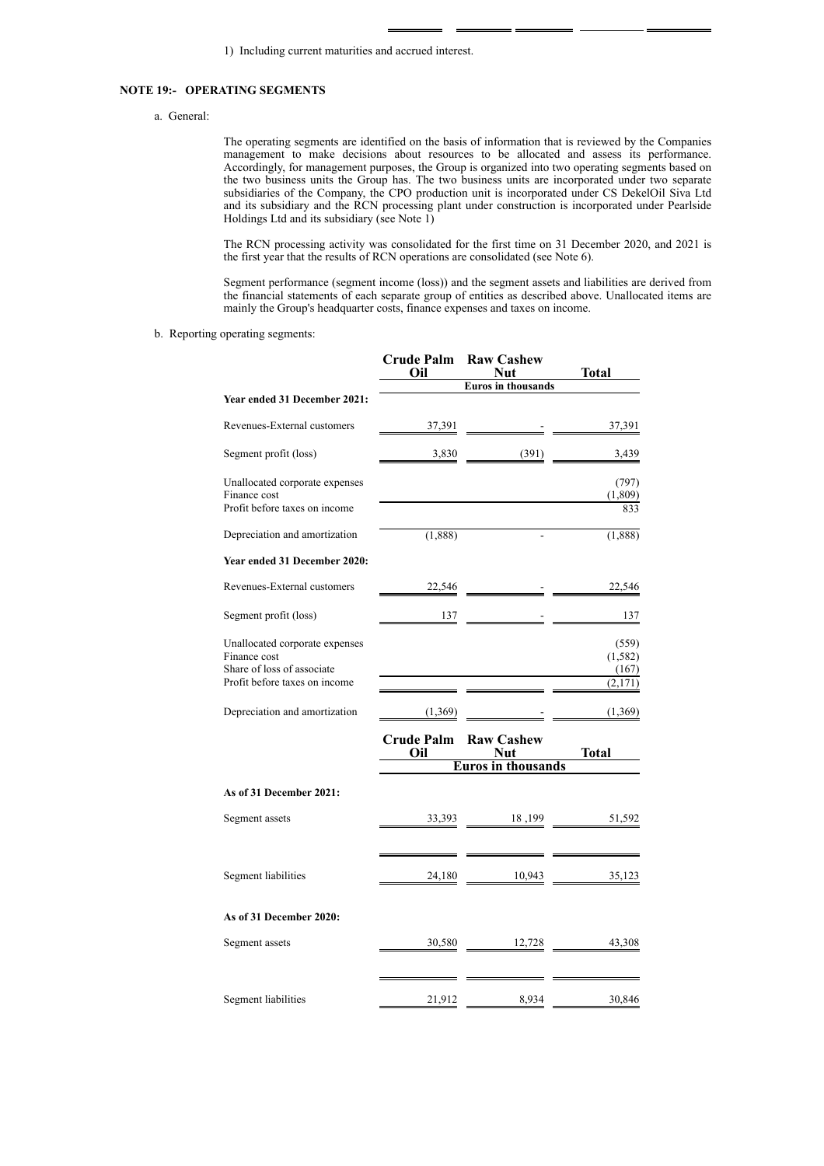## **NOTE 19:- OPERATING SEGMENTS**

a. General:

The operating segments are identified on the basis of information that is reviewed by the Companies management to make decisions about resources to be allocated and assess its performance. Accordingly, for management purposes, the Group is organized into two operating segments based on the two business units the Group has. The two business units are incorporated under two separate subsidiaries of the Company, the CPO production unit is incorporated under CS DekelOil Siva Ltd and its subsidiary and the RCN processing plant under construction is incorporated under Pearlside Holdings Ltd and its subsidiary (see Note 1)

The RCN processing activity was consolidated for the first time on 31 December 2020, and 2021 is the first year that the results of RCN operations are consolidated (see Note 6).

Segment performance (segment income (loss)) and the segment assets and liabilities are derived from the financial statements of each separate group of entities as described above. Unallocated items are mainly the Group's headquarter costs, finance expenses and taxes on income.

b. Reporting operating segments:

|                                                                                 | <b>Crude Palm</b><br>Oil | <b>Raw Cashew</b><br>Nut        | <b>Total</b>               |
|---------------------------------------------------------------------------------|--------------------------|---------------------------------|----------------------------|
| Year ended 31 December 2021:                                                    |                          | <b>Euros in thousands</b>       |                            |
|                                                                                 |                          |                                 |                            |
| Revenues-External customers                                                     | 37,391                   |                                 | 37,391                     |
| Segment profit (loss)                                                           | 3,830                    | (391)                           | 3,439                      |
| Unallocated corporate expenses<br>Finance cost<br>Profit before taxes on income |                          |                                 | (797)<br>(1,809)<br>833    |
|                                                                                 |                          |                                 |                            |
| Depreciation and amortization                                                   | (1,888)                  | $\overline{a}$                  | (1, 888)                   |
| Year ended 31 December 2020:                                                    |                          |                                 |                            |
| Revenues-External customers                                                     | 22,546                   |                                 | 22,546                     |
| Segment profit (loss)                                                           | 137                      |                                 | 137                        |
| Unallocated corporate expenses<br>Finance cost<br>Share of loss of associate    |                          |                                 | (559)<br>(1, 582)<br>(167) |
| Profit before taxes on income                                                   |                          |                                 | (2,171)                    |
| Depreciation and amortization                                                   | (1,369)                  |                                 | (1,369)                    |
|                                                                                 | Crude Palm<br>Oil        | <b>Raw Cashew</b><br><b>Nut</b> | Total                      |
|                                                                                 |                          | <b>Euros in thousands</b>       |                            |
| As of 31 December 2021:                                                         |                          |                                 |                            |
| Segment assets                                                                  | 33,393                   | 18,199                          | 51,592                     |
| Segment liabilities                                                             | 24,180                   | 10,943                          | 35,123                     |
| As of 31 December 2020:                                                         |                          |                                 |                            |
|                                                                                 |                          |                                 |                            |
| Segment assets                                                                  | 30,580                   | 12,728                          | 43,308                     |
| Segment liabilities                                                             |                          |                                 |                            |
|                                                                                 | 21,912                   | 8,934                           | 30,846                     |